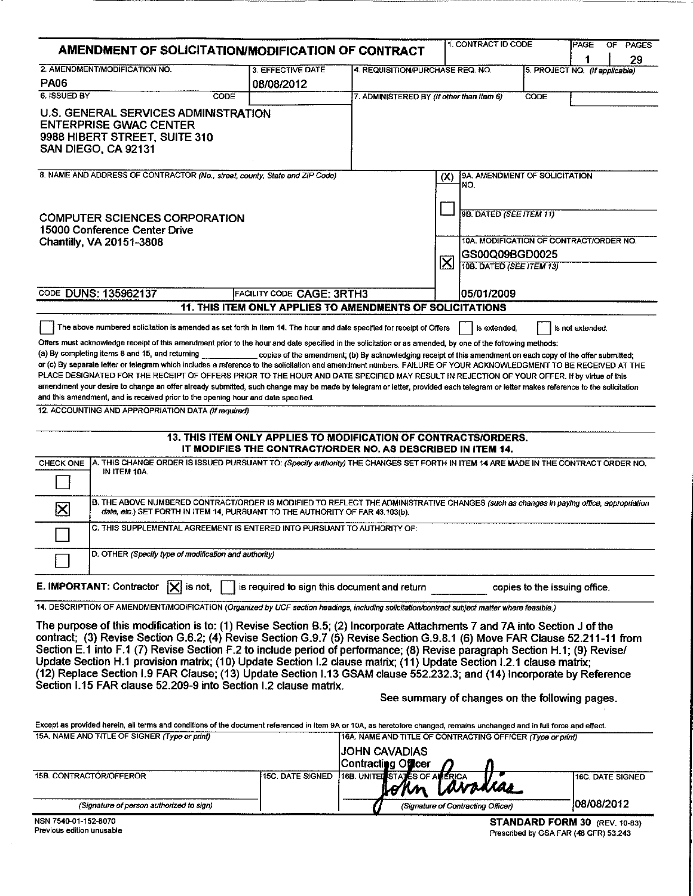|                                 | AMENDMENT OF SOLICITATION/MODIFICATION OF CONTRACT                                                                                                       |                                                                                                                                                                                                                                                                                                                                                                                                                                                                                                                                                                                                                                                                                                                                                             |                                                                                    | 1. CONTRACT ID CODE                                                                  | PAGE<br>OF<br>PAGES                                                                                                                                                                                                                                                                        |
|---------------------------------|----------------------------------------------------------------------------------------------------------------------------------------------------------|-------------------------------------------------------------------------------------------------------------------------------------------------------------------------------------------------------------------------------------------------------------------------------------------------------------------------------------------------------------------------------------------------------------------------------------------------------------------------------------------------------------------------------------------------------------------------------------------------------------------------------------------------------------------------------------------------------------------------------------------------------------|------------------------------------------------------------------------------------|--------------------------------------------------------------------------------------|--------------------------------------------------------------------------------------------------------------------------------------------------------------------------------------------------------------------------------------------------------------------------------------------|
|                                 | 2. AMENDMENT/MODIFICATION NO.                                                                                                                            | 3. EFFECTIVE DATE                                                                                                                                                                                                                                                                                                                                                                                                                                                                                                                                                                                                                                                                                                                                           | 4. REQUISITION/PURCHASE REQ. NO.                                                   |                                                                                      | 29<br>1<br>5. PROJECT NO. (If applicable)                                                                                                                                                                                                                                                  |
| <b>PA06</b>                     |                                                                                                                                                          | 08/08/2012                                                                                                                                                                                                                                                                                                                                                                                                                                                                                                                                                                                                                                                                                                                                                  |                                                                                    |                                                                                      |                                                                                                                                                                                                                                                                                            |
| 6. ISSUED BY                    |                                                                                                                                                          | CODE                                                                                                                                                                                                                                                                                                                                                                                                                                                                                                                                                                                                                                                                                                                                                        | 7. ADMINISTERED BY (If other than Item 6)                                          |                                                                                      | CODE                                                                                                                                                                                                                                                                                       |
| <b>SAN DIEGO, CA 92131</b>      | U.S. GENERAL SERVICES ADMINISTRATION<br><b>ENTERPRISE GWAC CENTER</b><br>9988 HIBERT STREET, SUITE 310                                                   |                                                                                                                                                                                                                                                                                                                                                                                                                                                                                                                                                                                                                                                                                                                                                             |                                                                                    |                                                                                      |                                                                                                                                                                                                                                                                                            |
|                                 | 8. NAME AND ADDRESS OF CONTRACTOR (No., street, county, State and ZIP Code)                                                                              |                                                                                                                                                                                                                                                                                                                                                                                                                                                                                                                                                                                                                                                                                                                                                             |                                                                                    | (X)                                                                                  | 9A. AMENDMENT OF SOLICITATION                                                                                                                                                                                                                                                              |
| <b>Chantilly, VA 20151-3808</b> | <b>COMPUTER SCIENCES CORPORATION</b><br>15000 Conference Center Drive                                                                                    |                                                                                                                                                                                                                                                                                                                                                                                                                                                                                                                                                                                                                                                                                                                                                             |                                                                                    | NO.<br>9B. DATED (SEE ITEM 11)<br>IGS00Q09BGD0025<br>ΙXΙ<br>10B. DATED (SEE ITEM 13) | 10A. MODIFICATION OF CONTRACT/ORDER NO.                                                                                                                                                                                                                                                    |
| CODE DUNS: 135962137            |                                                                                                                                                          | <b>FACILITY CODE CAGE: 3RTH3</b>                                                                                                                                                                                                                                                                                                                                                                                                                                                                                                                                                                                                                                                                                                                            |                                                                                    | 05/01/2009                                                                           |                                                                                                                                                                                                                                                                                            |
|                                 |                                                                                                                                                          | 11. THIS ITEM ONLY APPLIES TO AMENDMENTS OF SOLICITATIONS                                                                                                                                                                                                                                                                                                                                                                                                                                                                                                                                                                                                                                                                                                   |                                                                                    |                                                                                      |                                                                                                                                                                                                                                                                                            |
|                                 |                                                                                                                                                          |                                                                                                                                                                                                                                                                                                                                                                                                                                                                                                                                                                                                                                                                                                                                                             |                                                                                    |                                                                                      |                                                                                                                                                                                                                                                                                            |
| $ \mathsf{X} $                  | and this amendment, and is received prior to the opening hour and date specified.<br>12. ACCOUNTING AND APPROPRIATION DATA (If required)<br>IN ITEM 10A. | amendment your desire to change an offer already submitted, such change may be made by telegram or letter, provided each telegram or letter makes reference to the solicitation<br>13. THIS ITEM ONLY APPLIES TO MODIFICATION OF CONTRACTS/ORDERS.<br>IT MODIFIES THE CONTRACT/ORDER NO. AS DESCRIBED IN ITEM 14.<br>date, etc.) SET FORTH IN ITEM 14, PURSUANT TO THE AUTHORITY OF FAR 43.103(b).                                                                                                                                                                                                                                                                                                                                                          |                                                                                    |                                                                                      | CHECK ONE   A. THIS CHANGE ORDER IS ISSUED PURSUANT TO: (Specify authority) THE CHANGES SET FORTH IN ITEM 14 ARE MADE IN THE CONTRACT ORDER NO.<br>B. THE ABOVE NUMBERED CONTRACT/ORDER IS MODIFIED TO REFLECT THE ADMINISTRATIVE CHANGES (such as changes in paying office, appropriation |
|                                 | D. OTHER (Specify type of modification and authority)                                                                                                    | C. THIS SUPPLEMENTAL AGREEMENT IS ENTERED INTO PURSUANT TO AUTHORITY OF:                                                                                                                                                                                                                                                                                                                                                                                                                                                                                                                                                                                                                                                                                    |                                                                                    |                                                                                      |                                                                                                                                                                                                                                                                                            |
|                                 | $ \mathsf{X} $ is not,                                                                                                                                   | is required to sign this document and return                                                                                                                                                                                                                                                                                                                                                                                                                                                                                                                                                                                                                                                                                                                |                                                                                    |                                                                                      | copies to the issuing office.                                                                                                                                                                                                                                                              |
| E. IMPORTANT: Contractor        |                                                                                                                                                          | 14. DESCRIPTION OF AMENDMENT/MODIFICATION (Organized by UCF section headings, including solicitation/contract subject matter where feasible.)                                                                                                                                                                                                                                                                                                                                                                                                                                                                                                                                                                                                               |                                                                                    |                                                                                      |                                                                                                                                                                                                                                                                                            |
|                                 | 15A. NAME AND TITLE OF SIGNER (Type or print)                                                                                                            | The purpose of this modification is to: (1) Revise Section B.5; (2) Incorporate Attachments 7 and 7A into Section J of the<br>Section E.1 into F.1 (7) Revise Section F.2 to include period of performance; (8) Revise paragraph Section H.1; (9) Revise/<br>Update Section H.1 provision matrix; (10) Update Section I.2 clause matrix; (11) Update Section I.2.1 clause matrix;<br>(12) Replace Section I.9 FAR Clause; (13) Update Section I.13 GSAM clause 552.232.3; and (14) Incorporate by Reference<br>Section 1.15 FAR clause 52.209-9 into Section 1.2 clause matrix.<br>Except as provided herein, all terms and conditions of the document referenced in item 9A or 10A, as heretofore changed, remains unchanged and in full force and effect. | 16A. NAME AND TITLE OF CONTRACTING OFFICER (Type or print)<br><b>JOHN CAVADIAS</b> |                                                                                      | contract; (3) Revise Section G.6.2; (4) Revise Section G.9.7 (5) Revise Section G.9.8.1 (6) Move FAR Clause 52.211-11 from<br>See summary of changes on the following pages.                                                                                                               |
| 15B. CONTRACTOR/OFFEROR         |                                                                                                                                                          | 15C. DATE SIGNED                                                                                                                                                                                                                                                                                                                                                                                                                                                                                                                                                                                                                                                                                                                                            | Contracting Officer<br><b>16B. UNITED STA</b>                                      |                                                                                      | 16C. DATE SIGNED                                                                                                                                                                                                                                                                           |

NSN 7540-01-152-8070 Previous edition unusable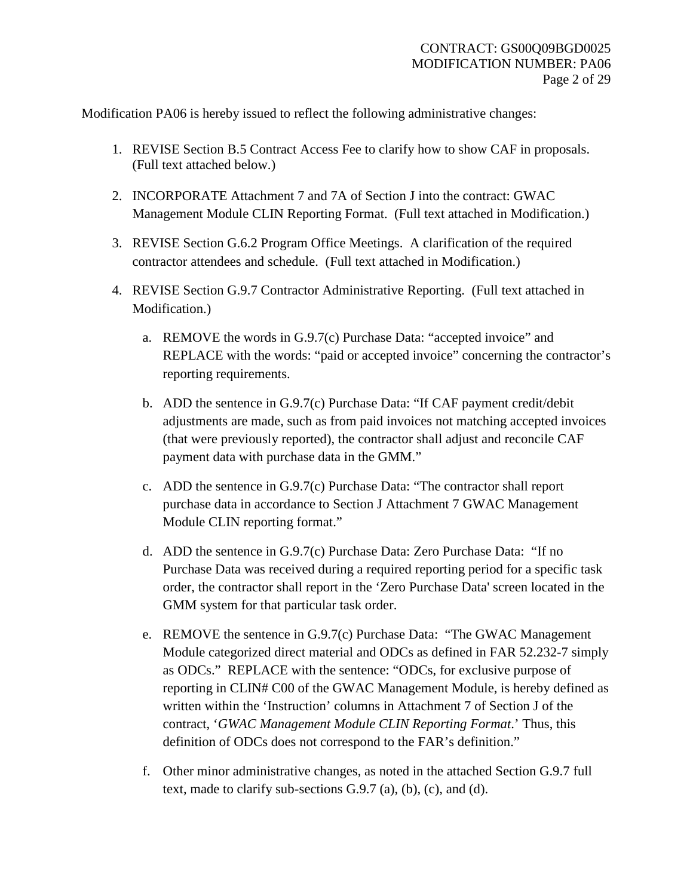Modification PA06 is hereby issued to reflect the following administrative changes:

- 1. REVISE Section B.5 Contract Access Fee to clarify how to show CAF in proposals. (Full text attached below.)
- 2. INCORPORATE Attachment 7 and 7A of Section J into the contract: GWAC Management Module CLIN Reporting Format. (Full text attached in Modification.)
- 3. REVISE Section G.6.2 Program Office Meetings. A clarification of the required contractor attendees and schedule. (Full text attached in Modification.)
- 4. REVISE Section G.9.7 Contractor Administrative Reporting. (Full text attached in Modification.)
	- a. REMOVE the words in G.9.7(c) Purchase Data: "accepted invoice" and REPLACE with the words: "paid or accepted invoice" concerning the contractor's reporting requirements.
	- b. ADD the sentence in G.9.7(c) Purchase Data: "If CAF payment credit/debit adjustments are made, such as from paid invoices not matching accepted invoices (that were previously reported), the contractor shall adjust and reconcile CAF payment data with purchase data in the GMM."
	- c. ADD the sentence in G.9.7(c) Purchase Data: "The contractor shall report purchase data in accordance to Section J Attachment 7 GWAC Management Module CLIN reporting format."
	- d. ADD the sentence in G.9.7(c) Purchase Data: Zero Purchase Data: "If no Purchase Data was received during a required reporting period for a specific task order, the contractor shall report in the 'Zero Purchase Data' screen located in the GMM system for that particular task order.
	- e. REMOVE the sentence in G.9.7(c) Purchase Data: "The GWAC Management Module categorized direct material and ODCs as defined in FAR 52.232-7 simply as ODCs." REPLACE with the sentence: "ODCs, for exclusive purpose of reporting in CLIN# C00 of the GWAC Management Module, is hereby defined as written within the 'Instruction' columns in Attachment 7 of Section J of the contract, '*GWAC Management Module CLIN Reporting Format*.' Thus, this definition of ODCs does not correspond to the FAR's definition."
	- f. Other minor administrative changes, as noted in the attached Section G.9.7 full text, made to clarify sub-sections G.9.7 (a), (b), (c), and (d).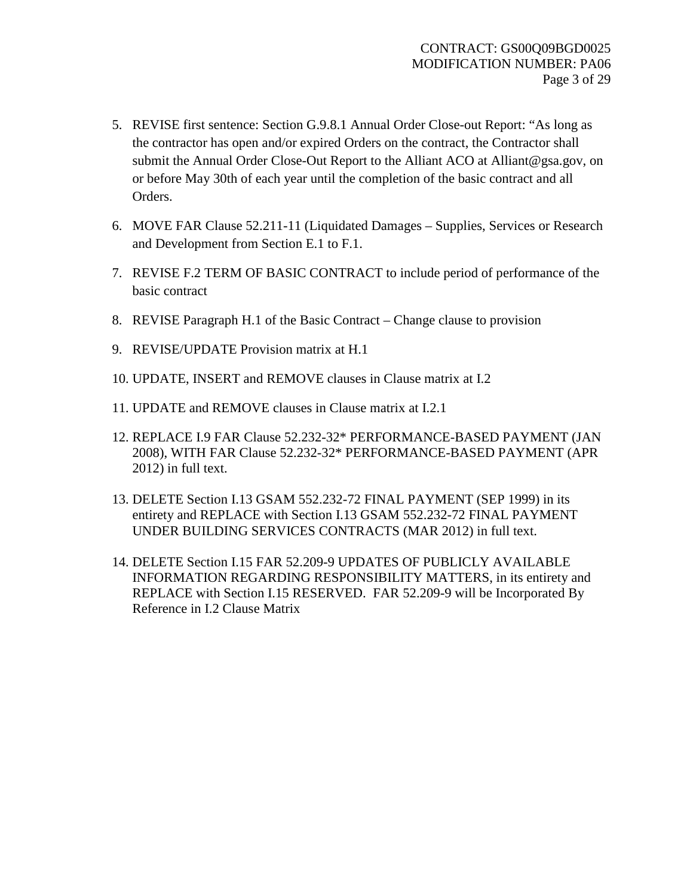- 5. REVISE first sentence: Section G.9.8.1 Annual Order Close-out Report: "As long as the contractor has open and/or expired Orders on the contract, the Contractor shall submit the Annual Order Close-Out Report to the Alliant ACO at Alliant@gsa.gov, on or before May 30th of each year until the completion of the basic contract and all Orders.
- 6. MOVE FAR Clause 52.211-11 (Liquidated Damages Supplies, Services or Research and Development from Section E.1 to F.1.
- 7. REVISE F.2 TERM OF BASIC CONTRACT to include period of performance of the basic contract
- 8. REVISE Paragraph H.1 of the Basic Contract Change clause to provision
- 9. REVISE/UPDATE Provision matrix at H.1
- 10. UPDATE, INSERT and REMOVE clauses in Clause matrix at I.2
- 11. UPDATE and REMOVE clauses in Clause matrix at I.2.1
- 12. REPLACE I.9 FAR Clause 52.232-32\* PERFORMANCE-BASED PAYMENT (JAN 2008), WITH FAR Clause 52.232-32\* PERFORMANCE-BASED PAYMENT (APR 2012) in full text.
- 13. DELETE Section I.13 GSAM 552.232-72 FINAL PAYMENT (SEP 1999) in its entirety and REPLACE with Section I.13 GSAM 552.232-72 FINAL PAYMENT UNDER BUILDING SERVICES CONTRACTS (MAR 2012) in full text.
- 14. DELETE Section I.15 FAR 52.209-9 UPDATES OF PUBLICLY AVAILABLE INFORMATION REGARDING RESPONSIBILITY MATTERS, in its entirety and REPLACE with Section I.15 RESERVED. FAR 52.209-9 will be Incorporated By Reference in I.2 Clause Matrix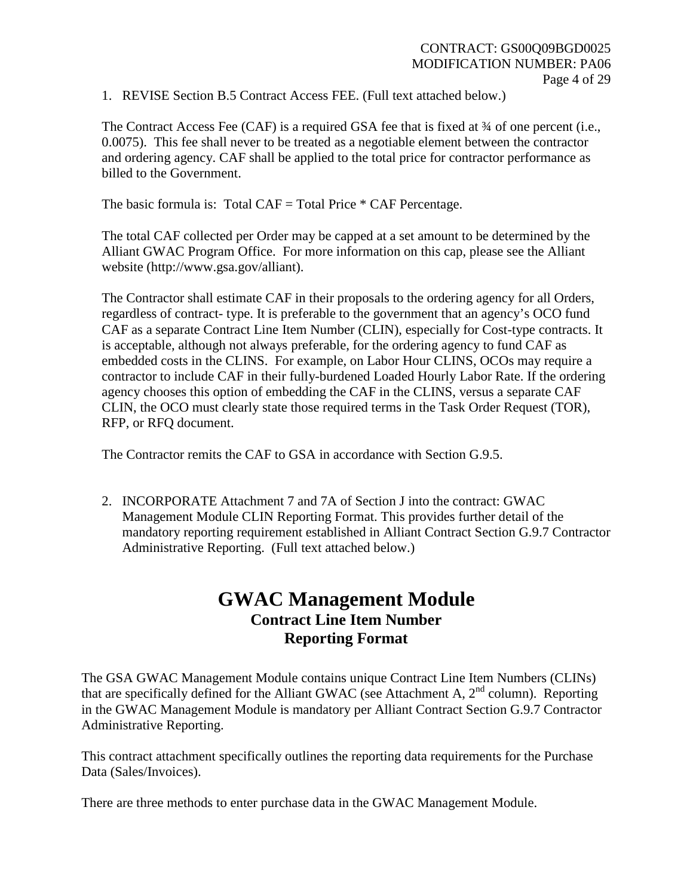1. REVISE Section B.5 Contract Access FEE. (Full text attached below.)

The Contract Access Fee (CAF) is a required GSA fee that is fixed at  $\frac{3}{4}$  of one percent (i.e., 0.0075). This fee shall never to be treated as a negotiable element between the contractor and ordering agency. CAF shall be applied to the total price for contractor performance as billed to the Government.

The basic formula is: Total  $CAF = Total Price * CAF$  Percentage.

The total CAF collected per Order may be capped at a set amount to be determined by the Alliant GWAC Program Office. For more information on this cap, please see the Alliant website (http://www.gsa.gov/alliant).

The Contractor shall estimate CAF in their proposals to the ordering agency for all Orders, regardless of contract- type. It is preferable to the government that an agency's OCO fund CAF as a separate Contract Line Item Number (CLIN), especially for Cost-type contracts. It is acceptable, although not always preferable, for the ordering agency to fund CAF as embedded costs in the CLINS. For example, on Labor Hour CLINS, OCOs may require a contractor to include CAF in their fully-burdened Loaded Hourly Labor Rate. If the ordering agency chooses this option of embedding the CAF in the CLINS, versus a separate CAF CLIN, the OCO must clearly state those required terms in the Task Order Request (TOR), RFP, or RFQ document.

The Contractor remits the CAF to GSA in accordance with Section G.9.5.

2. INCORPORATE Attachment 7 and 7A of Section J into the contract: GWAC Management Module CLIN Reporting Format. This provides further detail of the mandatory reporting requirement established in Alliant Contract Section G.9.7 Contractor Administrative Reporting. (Full text attached below.)

# **GWAC Management Module Contract Line Item Number Reporting Format**

The GSA GWAC Management Module contains unique Contract Line Item Numbers (CLINs) that are specifically defined for the Alliant GWAC (see Attachment A,  $2<sup>nd</sup>$  column). Reporting in the GWAC Management Module is mandatory per Alliant Contract Section G.9.7 Contractor Administrative Reporting.

This contract attachment specifically outlines the reporting data requirements for the Purchase Data (Sales/Invoices).

There are three methods to enter purchase data in the GWAC Management Module.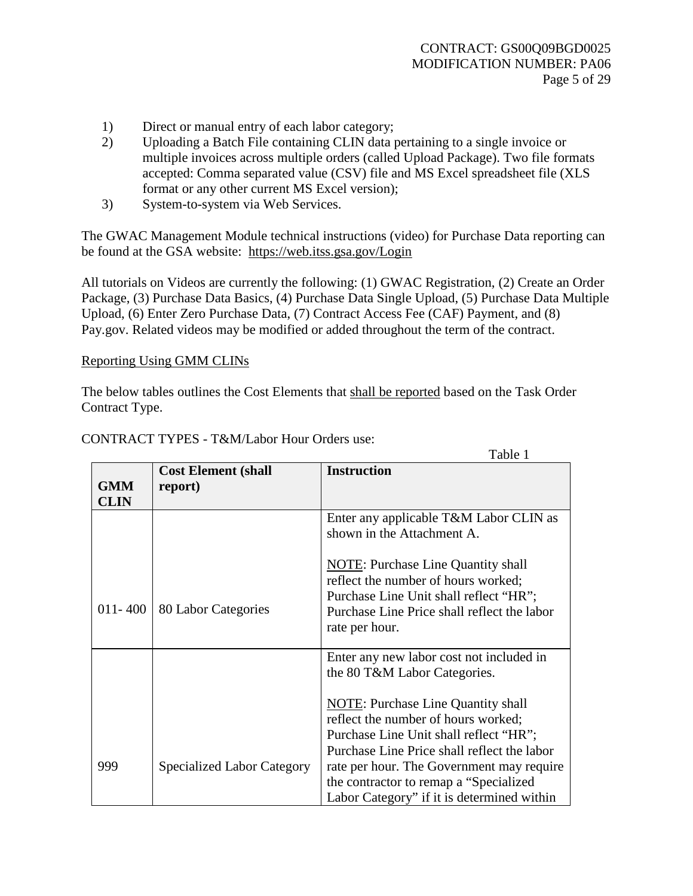- 1) Direct or manual entry of each labor category;
- 2) Uploading a Batch File containing CLIN data pertaining to a single invoice or multiple invoices across multiple orders (called Upload Package). Two file formats accepted: Comma separated value (CSV) file and MS Excel spreadsheet file (XLS format or any other current MS Excel version);
- 3) System-to-system via Web Services.

The GWAC Management Module technical instructions (video) for Purchase Data reporting can be found at the GSA website: https://web.itss.gsa.gov/Login

All tutorials on Videos are currently the following: (1) GWAC Registration, (2) Create an Order Package, (3) Purchase Data Basics, (4) Purchase Data Single Upload, (5) Purchase Data Multiple Upload, (6) Enter Zero Purchase Data, (7) Contract Access Fee (CAF) Payment, and (8) Pay.gov. Related videos may be modified or added throughout the term of the contract.

#### Reporting Using GMM CLINs

The below tables outlines the Cost Elements that shall be reported based on the Task Order Contract Type.

|             |                                   | Table 1                                                                                                                                                                                     |
|-------------|-----------------------------------|---------------------------------------------------------------------------------------------------------------------------------------------------------------------------------------------|
|             | <b>Cost Element (shall</b>        | <b>Instruction</b>                                                                                                                                                                          |
| GMM         | report)                           |                                                                                                                                                                                             |
| <b>CLIN</b> |                                   |                                                                                                                                                                                             |
|             |                                   | Enter any applicable T&M Labor CLIN as                                                                                                                                                      |
|             |                                   | shown in the Attachment A.                                                                                                                                                                  |
| $011 - 400$ | 80 Labor Categories               | <b>NOTE:</b> Purchase Line Quantity shall<br>reflect the number of hours worked;<br>Purchase Line Unit shall reflect "HR";<br>Purchase Line Price shall reflect the labor<br>rate per hour. |
|             |                                   | Enter any new labor cost not included in<br>the 80 T&M Labor Categories.                                                                                                                    |
|             |                                   | NOTE: Purchase Line Quantity shall<br>reflect the number of hours worked;<br>Purchase Line Unit shall reflect "HR";<br>Purchase Line Price shall reflect the labor                          |
| 999         | <b>Specialized Labor Category</b> | rate per hour. The Government may require<br>the contractor to remap a "Specialized"                                                                                                        |
|             |                                   | Labor Category" if it is determined within                                                                                                                                                  |

CONTRACT TYPES - T&M/Labor Hour Orders use: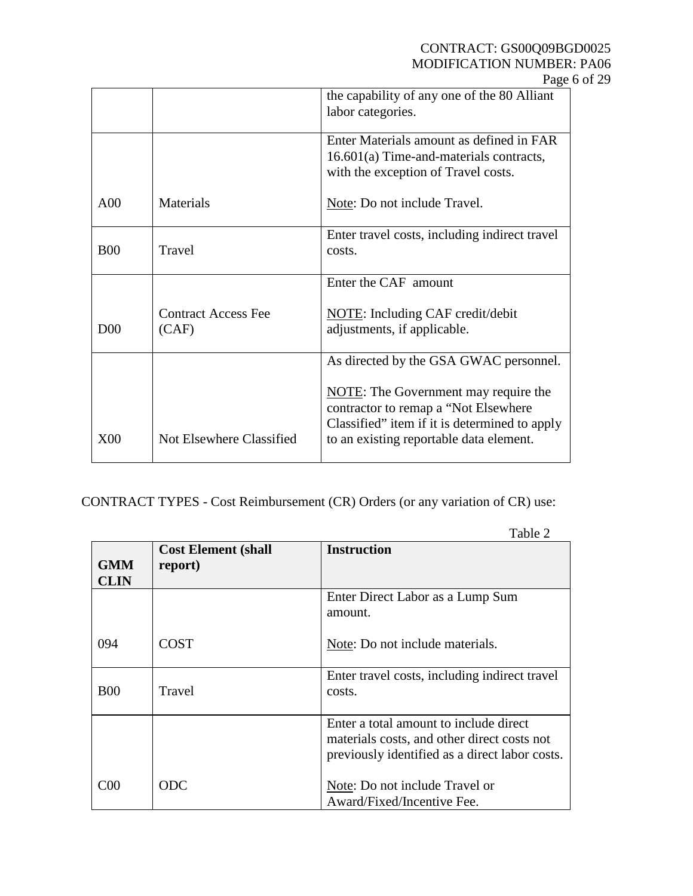| Page 6 of 29 |  |  |  |  |
|--------------|--|--|--|--|
|--------------|--|--|--|--|

|                |                                     | the capability of any one of the 80 Alliant                                                                                                                                     |
|----------------|-------------------------------------|---------------------------------------------------------------------------------------------------------------------------------------------------------------------------------|
|                |                                     | labor categories.                                                                                                                                                               |
|                |                                     | Enter Materials amount as defined in FAR<br>16.601(a) Time-and-materials contracts,<br>with the exception of Travel costs.                                                      |
| A00            | Materials                           | Note: Do not include Travel.                                                                                                                                                    |
| <b>B00</b>     | Travel                              | Enter travel costs, including indirect travel<br>costs.                                                                                                                         |
|                |                                     | Enter the CAF amount                                                                                                                                                            |
| D <sub>0</sub> | <b>Contract Access Fee</b><br>(CAF) | NOTE: Including CAF credit/debit<br>adjustments, if applicable.                                                                                                                 |
|                |                                     | As directed by the GSA GWAC personnel.                                                                                                                                          |
| <b>X00</b>     | Not Elsewhere Classified            | <b>NOTE:</b> The Government may require the<br>contractor to remap a "Not Elsewhere<br>Classified" item if it is determined to apply<br>to an existing reportable data element. |

CONTRACT TYPES - Cost Reimbursement (CR) Orders (or any variation of CR) use:

| Table |  |
|-------|--|
|-------|--|

|             | <b>Cost Element (shall</b> | <b>Instruction</b>                             |
|-------------|----------------------------|------------------------------------------------|
| <b>GMM</b>  | report)                    |                                                |
| <b>CLIN</b> |                            |                                                |
|             |                            | Enter Direct Labor as a Lump Sum               |
|             |                            | amount.                                        |
|             |                            |                                                |
| 094         | <b>COST</b>                | Note: Do not include materials.                |
|             |                            |                                                |
|             |                            | Enter travel costs, including indirect travel  |
| <b>B00</b>  | Travel                     | costs.                                         |
|             |                            |                                                |
|             |                            | Enter a total amount to include direct         |
|             |                            | materials costs, and other direct costs not    |
|             |                            | previously identified as a direct labor costs. |
|             |                            |                                                |
| C00         | <b>ODC</b>                 | Note: Do not include Travel or                 |
|             |                            | Award/Fixed/Incentive Fee.                     |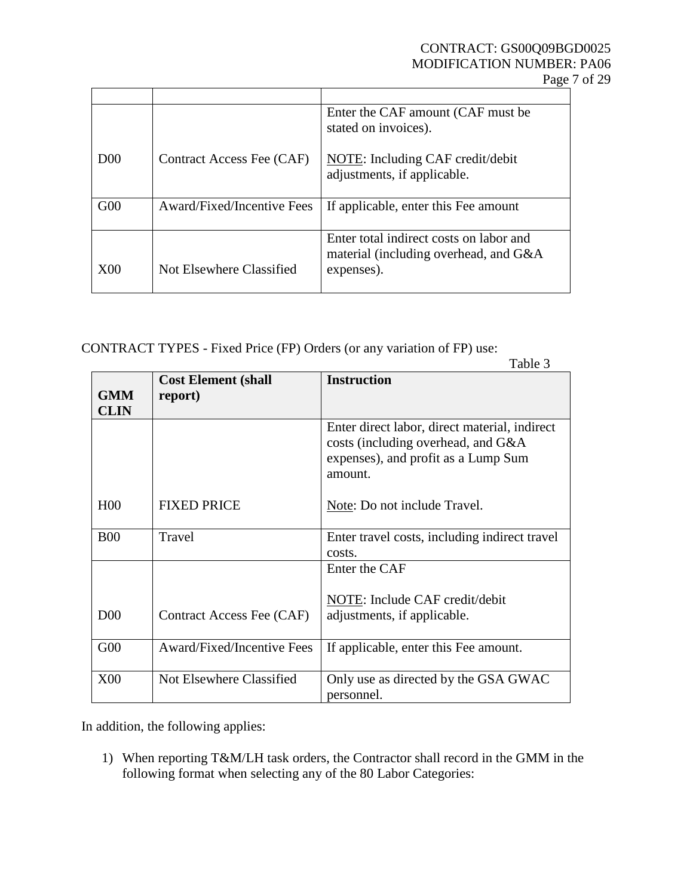| Page 7 of 29 |  |  |
|--------------|--|--|
|              |  |  |

|                 |                            | Enter the CAF amount (CAF must be<br>stated on invoices).                                      |
|-----------------|----------------------------|------------------------------------------------------------------------------------------------|
| D <sub>00</sub> | Contract Access Fee (CAF)  | <b>NOTE:</b> Including CAF credit/debit<br>adjustments, if applicable.                         |
| G00             | Award/Fixed/Incentive Fees | If applicable, enter this Fee amount                                                           |
| X <sub>00</sub> | Not Elsewhere Classified   | Enter total indirect costs on labor and<br>material (including overhead, and G&A<br>expenses). |

CONTRACT TYPES - Fixed Price (FP) Orders (or any variation of FP) use:

|                           |                                       | Table 3                                                                                                                               |
|---------------------------|---------------------------------------|---------------------------------------------------------------------------------------------------------------------------------------|
| <b>GMM</b><br><b>CLIN</b> | <b>Cost Element (shall</b><br>report) | <b>Instruction</b>                                                                                                                    |
|                           |                                       | Enter direct labor, direct material, indirect<br>costs (including overhead, and G&A<br>expenses), and profit as a Lump Sum<br>amount. |
| H <sub>00</sub>           | <b>FIXED PRICE</b>                    | Note: Do not include Travel.                                                                                                          |
| <b>B00</b>                | Travel                                | Enter travel costs, including indirect travel<br>costs.                                                                               |
| D <sub>00</sub>           | <b>Contract Access Fee (CAF)</b>      | Enter the CAF<br>NOTE: Include CAF credit/debit<br>adjustments, if applicable.                                                        |
| G <sub>00</sub>           | <b>Award/Fixed/Incentive Fees</b>     | If applicable, enter this Fee amount.                                                                                                 |
| <b>X00</b>                | Not Elsewhere Classified              | Only use as directed by the GSA GWAC<br>personnel.                                                                                    |

In addition, the following applies:

1) When reporting T&M/LH task orders, the Contractor shall record in the GMM in the following format when selecting any of the 80 Labor Categories: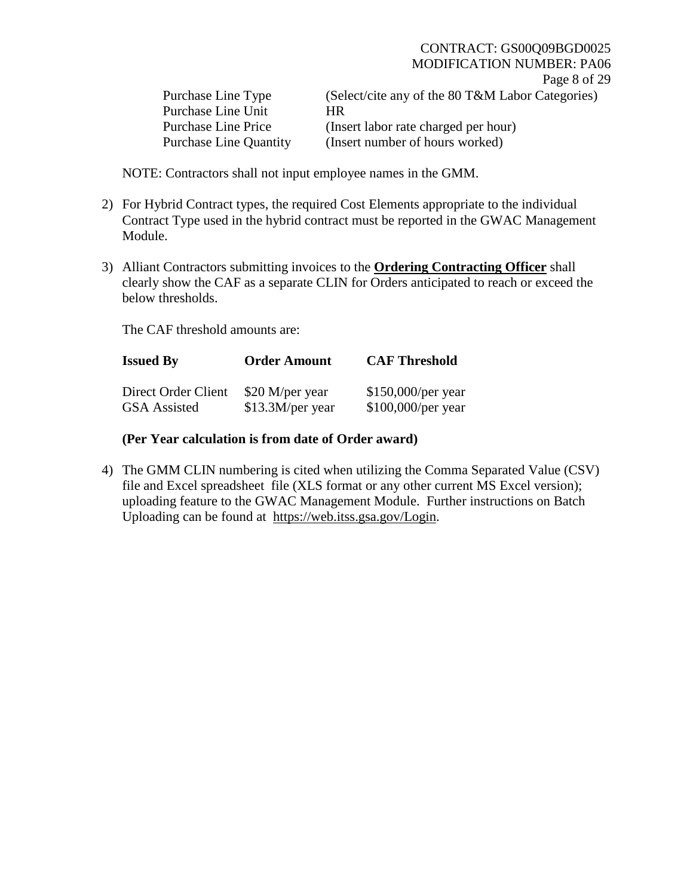|                               | <b>MODIFICATION NUMBER: PA06</b>                 |
|-------------------------------|--------------------------------------------------|
|                               | Page 8 of 29                                     |
| Purchase Line Type            | (Select/cite any of the 80 T&M Labor Categories) |
| Purchase Line Unit            | <b>HR</b>                                        |
| <b>Purchase Line Price</b>    | (Insert labor rate charged per hour)             |
| <b>Purchase Line Quantity</b> | (Insert number of hours worked)                  |

CONTRACT: GS00Q09BGD0025

NOTE: Contractors shall not input employee names in the GMM.

- 2) For Hybrid Contract types, the required Cost Elements appropriate to the individual Contract Type used in the hybrid contract must be reported in the GWAC Management Module.
- 3) Alliant Contractors submitting invoices to the **Ordering Contracting Officer** shall clearly show the CAF as a separate CLIN for Orders anticipated to reach or exceed the below thresholds.

The CAF threshold amounts are:

| <b>Issued By</b>    | <b>Order Amount</b> | <b>CAF Threshold</b> |
|---------------------|---------------------|----------------------|
| Direct Order Client | \$20 M/per year     | $$150,000/per$ year  |
| <b>GSA</b> Assisted | \$13.3M/per year    | $$100,000/per$ year  |

#### **(Per Year calculation is from date of Order award)**

4) The GMM CLIN numbering is cited when utilizing the Comma Separated Value (CSV) file and Excel spreadsheet file (XLS format or any other current MS Excel version); uploading feature to the GWAC Management Module. Further instructions on Batch Uploading can be found at https://web.itss.gsa.gov/Login.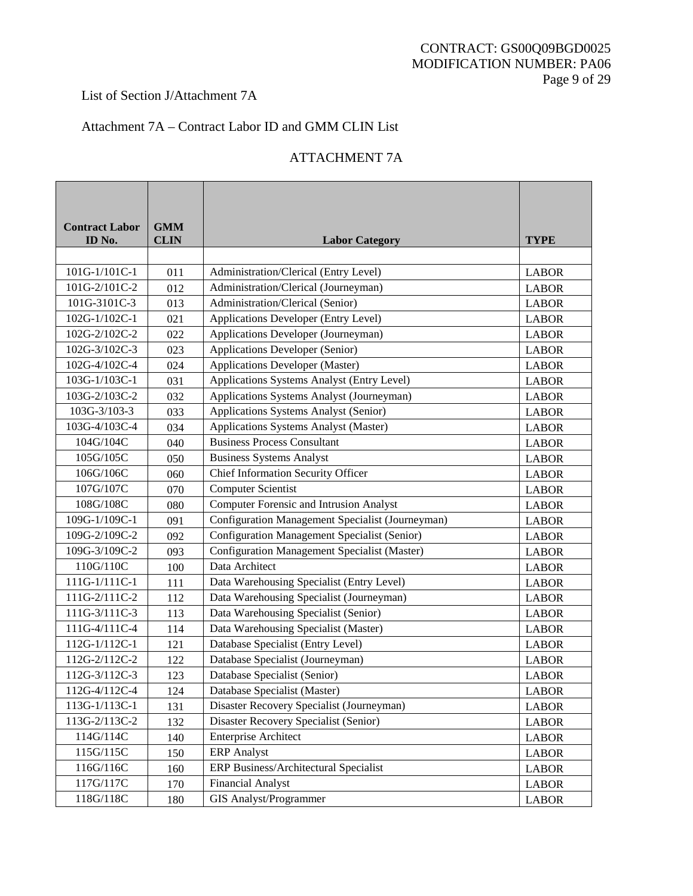## CONTRACT: GS00Q09BGD0025 MODIFICATION NUMBER: PA06 Page 9 of 29

# List of Section J/Attachment 7A

## Attachment 7A – Contract Labor ID and GMM CLIN List

## ATTACHMENT 7A

| <b>Contract Labor</b> | <b>GMM</b>  |                                                     |              |
|-----------------------|-------------|-----------------------------------------------------|--------------|
| ID No.                | <b>CLIN</b> | <b>Labor Category</b>                               | <b>TYPE</b>  |
|                       |             |                                                     |              |
| 101G-1/101C-1         | 011         | Administration/Clerical (Entry Level)               | <b>LABOR</b> |
| 101G-2/101C-2         | 012         | Administration/Clerical (Journeyman)                | <b>LABOR</b> |
| 101G-3101C-3          | 013         | Administration/Clerical (Senior)                    | <b>LABOR</b> |
| 102G-1/102C-1         | 021         | Applications Developer (Entry Level)                | <b>LABOR</b> |
| 102G-2/102C-2         | 022         | Applications Developer (Journeyman)                 | <b>LABOR</b> |
| 102G-3/102C-3         | 023         | Applications Developer (Senior)                     | <b>LABOR</b> |
| 102G-4/102C-4         | 024         | <b>Applications Developer (Master)</b>              | <b>LABOR</b> |
| 103G-1/103C-1         | 031         | Applications Systems Analyst (Entry Level)          | <b>LABOR</b> |
| 103G-2/103C-2         | 032         | Applications Systems Analyst (Journeyman)           | <b>LABOR</b> |
| 103G-3/103-3          | 033         | Applications Systems Analyst (Senior)               | <b>LABOR</b> |
| 103G-4/103C-4         | 034         | <b>Applications Systems Analyst (Master)</b>        | <b>LABOR</b> |
| 104G/104C             | 040         | <b>Business Process Consultant</b>                  | <b>LABOR</b> |
| 105G/105C             | 050         | <b>Business Systems Analyst</b>                     | <b>LABOR</b> |
| 106G/106C             | 060         | Chief Information Security Officer                  | <b>LABOR</b> |
| 107G/107C             | 070         | <b>Computer Scientist</b>                           | <b>LABOR</b> |
| 108G/108C             | 080         | <b>Computer Forensic and Intrusion Analyst</b>      | <b>LABOR</b> |
| 109G-1/109C-1         | 091         | Configuration Management Specialist (Journeyman)    | <b>LABOR</b> |
| 109G-2/109C-2         | 092         | <b>Configuration Management Specialist (Senior)</b> | <b>LABOR</b> |
| 109G-3/109C-2         | 093         | <b>Configuration Management Specialist (Master)</b> | <b>LABOR</b> |
| 110G/110C             | 100         | Data Architect                                      | <b>LABOR</b> |
| 111G-1/111C-1         | 111         | Data Warehousing Specialist (Entry Level)           | <b>LABOR</b> |
| 111G-2/111C-2         | 112         | Data Warehousing Specialist (Journeyman)            | <b>LABOR</b> |
| 111G-3/111C-3         | 113         | Data Warehousing Specialist (Senior)                | <b>LABOR</b> |
| 111G-4/111C-4         | 114         | Data Warehousing Specialist (Master)                | <b>LABOR</b> |
| 112G-1/112C-1         | 121         | Database Specialist (Entry Level)                   | <b>LABOR</b> |
| 112G-2/112C-2         | 122         | Database Specialist (Journeyman)                    | <b>LABOR</b> |
| 112G-3/112C-3         | 123         | Database Specialist (Senior)                        | <b>LABOR</b> |
| 112G-4/112C-4         | 124         | Database Specialist (Master)                        | <b>LABOR</b> |
| 113G-1/113C-1         | 131         | Disaster Recovery Specialist (Journeyman)           | <b>LABOR</b> |
| 113G-2/113C-2         | 132         | Disaster Recovery Specialist (Senior)               | <b>LABOR</b> |
| 114G/114C             | 140         | <b>Enterprise Architect</b>                         | <b>LABOR</b> |
| 115G/115C             | 150         | <b>ERP</b> Analyst                                  | <b>LABOR</b> |
| 116G/116C             | 160         | ERP Business/Architectural Specialist               | <b>LABOR</b> |
| 117G/117C             | 170         | <b>Financial Analyst</b>                            | <b>LABOR</b> |
| 118G/118C             | 180         | GIS Analyst/Programmer                              | <b>LABOR</b> |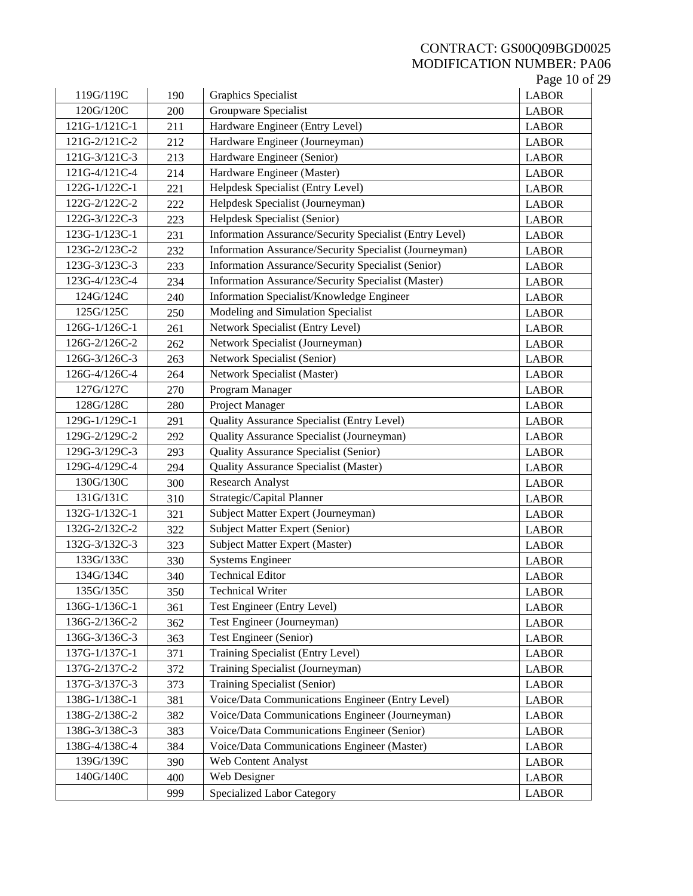| - - - - - - - - - - - - - |  |  |
|---------------------------|--|--|
| Page 10 of 29             |  |  |

| 119G/119C     | 190 | Graphics Specialist                                     | <b>LABOR</b> |
|---------------|-----|---------------------------------------------------------|--------------|
| 120G/120C     | 200 | Groupware Specialist                                    | <b>LABOR</b> |
| 121G-1/121C-1 | 211 | Hardware Engineer (Entry Level)                         | <b>LABOR</b> |
| 121G-2/121C-2 | 212 | Hardware Engineer (Journeyman)                          | <b>LABOR</b> |
| 121G-3/121C-3 | 213 | Hardware Engineer (Senior)                              | <b>LABOR</b> |
| 121G-4/121C-4 | 214 | Hardware Engineer (Master)                              | <b>LABOR</b> |
| 122G-1/122C-1 | 221 | Helpdesk Specialist (Entry Level)                       | <b>LABOR</b> |
| 122G-2/122C-2 | 222 | Helpdesk Specialist (Journeyman)                        | <b>LABOR</b> |
| 122G-3/122C-3 | 223 | Helpdesk Specialist (Senior)                            | <b>LABOR</b> |
| 123G-1/123C-1 | 231 | Information Assurance/Security Specialist (Entry Level) | <b>LABOR</b> |
| 123G-2/123C-2 | 232 | Information Assurance/Security Specialist (Journeyman)  | <b>LABOR</b> |
| 123G-3/123C-3 | 233 | Information Assurance/Security Specialist (Senior)      | <b>LABOR</b> |
| 123G-4/123C-4 | 234 | Information Assurance/Security Specialist (Master)      | <b>LABOR</b> |
| 124G/124C     | 240 | Information Specialist/Knowledge Engineer               | <b>LABOR</b> |
| 125G/125C     | 250 | Modeling and Simulation Specialist                      | <b>LABOR</b> |
| 126G-1/126C-1 | 261 | Network Specialist (Entry Level)                        | <b>LABOR</b> |
| 126G-2/126C-2 | 262 | Network Specialist (Journeyman)                         | <b>LABOR</b> |
| 126G-3/126C-3 | 263 | Network Specialist (Senior)                             | <b>LABOR</b> |
| 126G-4/126C-4 | 264 | Network Specialist (Master)                             | <b>LABOR</b> |
| 127G/127C     | 270 | Program Manager                                         | <b>LABOR</b> |
| 128G/128C     | 280 | Project Manager                                         | <b>LABOR</b> |
| 129G-1/129C-1 | 291 | Quality Assurance Specialist (Entry Level)              | <b>LABOR</b> |
| 129G-2/129C-2 | 292 | Quality Assurance Specialist (Journeyman)               | <b>LABOR</b> |
| 129G-3/129C-3 | 293 | Quality Assurance Specialist (Senior)                   | <b>LABOR</b> |
| 129G-4/129C-4 | 294 | Quality Assurance Specialist (Master)                   | <b>LABOR</b> |
| 130G/130C     | 300 | <b>Research Analyst</b>                                 | <b>LABOR</b> |
| 131G/131C     | 310 | Strategic/Capital Planner                               | <b>LABOR</b> |
| 132G-1/132C-1 | 321 | Subject Matter Expert (Journeyman)                      | <b>LABOR</b> |
| 132G-2/132C-2 | 322 | <b>Subject Matter Expert (Senior)</b>                   | <b>LABOR</b> |
| 132G-3/132C-3 | 323 | Subject Matter Expert (Master)                          | <b>LABOR</b> |
| 133G/133C     | 330 | <b>Systems Engineer</b>                                 | <b>LABOR</b> |
| 134G/134C     | 340 | <b>Technical Editor</b>                                 | <b>LABOR</b> |
| 135G/135C     | 350 | <b>Technical Writer</b>                                 | <b>LABOR</b> |
| 136G-1/136C-1 | 361 | Test Engineer (Entry Level)                             | <b>LABOR</b> |
| 136G-2/136C-2 | 362 | Test Engineer (Journeyman)                              | <b>LABOR</b> |
| 136G-3/136C-3 | 363 | Test Engineer (Senior)                                  | <b>LABOR</b> |
| 137G-1/137C-1 | 371 | Training Specialist (Entry Level)                       | <b>LABOR</b> |
| 137G-2/137C-2 | 372 | Training Specialist (Journeyman)                        | <b>LABOR</b> |
| 137G-3/137C-3 | 373 | Training Specialist (Senior)                            | <b>LABOR</b> |
| 138G-1/138C-1 | 381 | Voice/Data Communications Engineer (Entry Level)        | <b>LABOR</b> |
| 138G-2/138C-2 | 382 | Voice/Data Communications Engineer (Journeyman)         | <b>LABOR</b> |
| 138G-3/138C-3 | 383 | Voice/Data Communications Engineer (Senior)             | <b>LABOR</b> |
| 138G-4/138C-4 | 384 | Voice/Data Communications Engineer (Master)             | <b>LABOR</b> |
| 139G/139C     | 390 | Web Content Analyst                                     | <b>LABOR</b> |
| 140G/140C     | 400 | Web Designer                                            | <b>LABOR</b> |
|               | 999 | <b>Specialized Labor Category</b>                       | <b>LABOR</b> |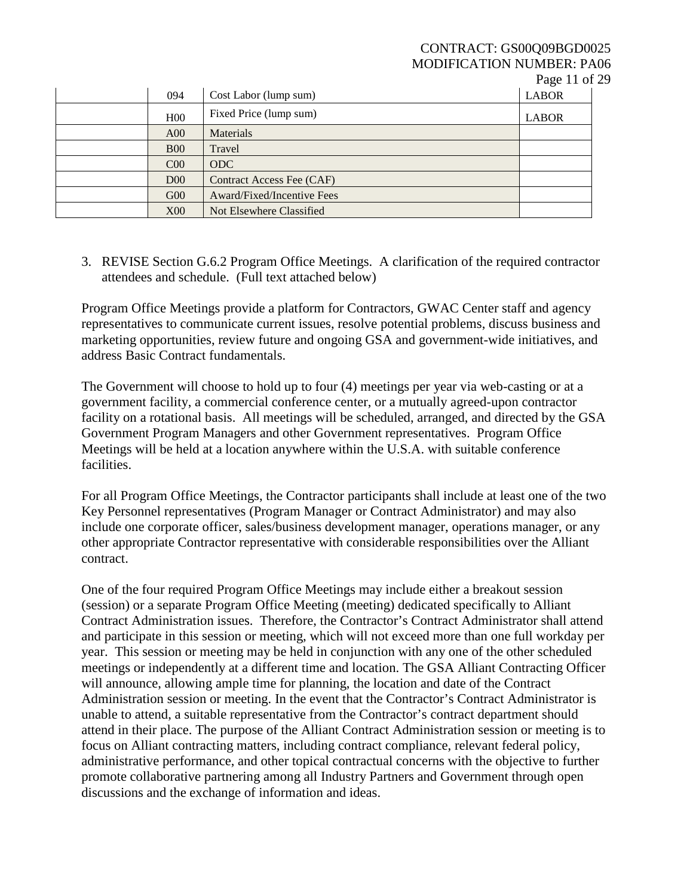| Page 11 of 29 |  |
|---------------|--|
|---------------|--|

| 094             | Cost Labor (lump sum)      | $\frac{1}{2}$<br><b>LABOR</b> |
|-----------------|----------------------------|-------------------------------|
| H <sub>00</sub> | Fixed Price (lump sum)     | <b>LABOR</b>                  |
| A <sub>00</sub> | Materials                  |                               |
| <b>B00</b>      | Travel                     |                               |
| C <sub>00</sub> | ODC                        |                               |
| D <sub>00</sub> | Contract Access Fee (CAF)  |                               |
| G <sub>00</sub> | Award/Fixed/Incentive Fees |                               |
| <b>X00</b>      | Not Elsewhere Classified   |                               |

3. REVISE Section G.6.2 Program Office Meetings. A clarification of the required contractor attendees and schedule. (Full text attached below)

Program Office Meetings provide a platform for Contractors, GWAC Center staff and agency representatives to communicate current issues, resolve potential problems, discuss business and marketing opportunities, review future and ongoing GSA and government-wide initiatives, and address Basic Contract fundamentals.

The Government will choose to hold up to four (4) meetings per year via web-casting or at a government facility, a commercial conference center, or a mutually agreed-upon contractor facility on a rotational basis. All meetings will be scheduled, arranged, and directed by the GSA Government Program Managers and other Government representatives. Program Office Meetings will be held at a location anywhere within the U.S.A. with suitable conference facilities.

For all Program Office Meetings, the Contractor participants shall include at least one of the two Key Personnel representatives (Program Manager or Contract Administrator) and may also include one corporate officer, sales/business development manager, operations manager, or any other appropriate Contractor representative with considerable responsibilities over the Alliant contract.

One of the four required Program Office Meetings may include either a breakout session (session) or a separate Program Office Meeting (meeting) dedicated specifically to Alliant Contract Administration issues. Therefore, the Contractor's Contract Administrator shall attend and participate in this session or meeting, which will not exceed more than one full workday per year. This session or meeting may be held in conjunction with any one of the other scheduled meetings or independently at a different time and location. The GSA Alliant Contracting Officer will announce, allowing ample time for planning, the location and date of the Contract Administration session or meeting. In the event that the Contractor's Contract Administrator is unable to attend, a suitable representative from the Contractor's contract department should attend in their place. The purpose of the Alliant Contract Administration session or meeting is to focus on Alliant contracting matters, including contract compliance, relevant federal policy, administrative performance, and other topical contractual concerns with the objective to further promote collaborative partnering among all Industry Partners and Government through open discussions and the exchange of information and ideas.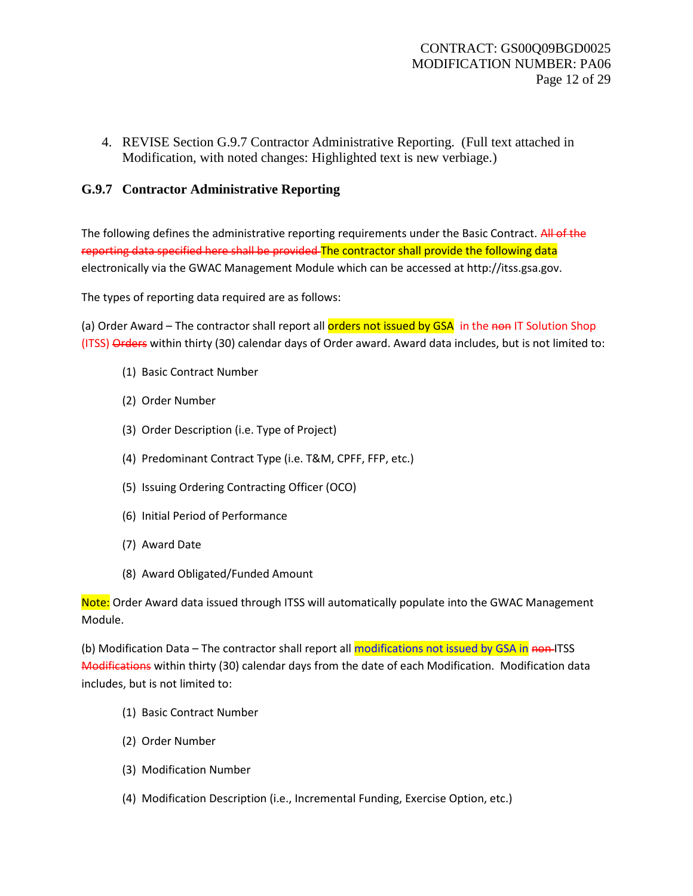4. REVISE Section G.9.7 Contractor Administrative Reporting. (Full text attached in Modification, with noted changes: Highlighted text is new verbiage.)

#### **G.9.7 Contractor Administrative Reporting**

The following defines the administrative reporting requirements under the Basic Contract. All of the reporting data specified here shall be provided The contractor shall provide the following data electronically via the GWAC Management Module which can be accessed at http://itss.gsa.gov.

The types of reporting data required are as follows:

(a) Order Award – The contractor shall report all **orders not issued by GSA** in the non IT Solution Shop (ITSS) Orders within thirty (30) calendar days of Order award. Award data includes, but is not limited to:

- (1) Basic Contract Number
- (2) Order Number
- (3) Order Description (i.e. Type of Project)
- (4) Predominant Contract Type (i.e. T&M, CPFF, FFP, etc.)
- (5) Issuing Ordering Contracting Officer (OCO)
- (6) Initial Period of Performance
- (7) Award Date
- (8) Award Obligated/Funded Amount

Note: Order Award data issued through ITSS will automatically populate into the GWAC Management Module.

(b) Modification Data – The contractor shall report all modifications not issued by GSA in non-ITSS Modifications within thirty (30) calendar days from the date of each Modification. Modification data includes, but is not limited to:

- (1) Basic Contract Number
- (2) Order Number
- (3) Modification Number
- (4) Modification Description (i.e., Incremental Funding, Exercise Option, etc.)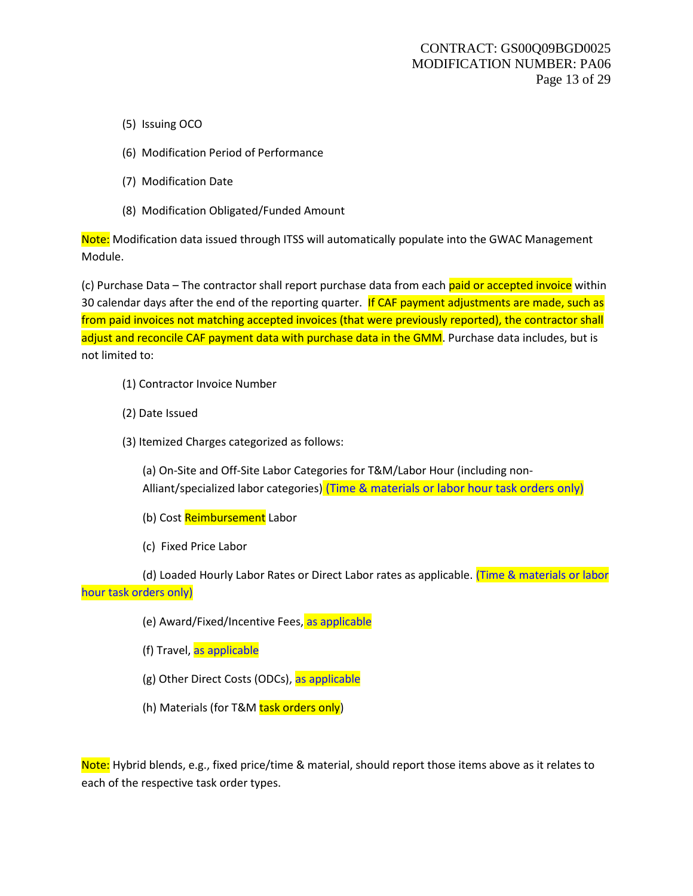- (5) Issuing OCO
- (6) Modification Period of Performance
- (7) Modification Date
- (8) Modification Obligated/Funded Amount

Note: Modification data issued through ITSS will automatically populate into the GWAC Management Module.

(c) Purchase Data – The contractor shall report purchase data from each paid or accepted invoice within 30 calendar days after the end of the reporting quarter. If CAF payment adjustments are made, such as from paid invoices not matching accepted invoices (that were previously reported), the contractor shall adjust and reconcile CAF payment data with purchase data in the GMM. Purchase data includes, but is not limited to:

- (1) Contractor Invoice Number
- (2) Date Issued
- (3) Itemized Charges categorized as follows:

(a) On-Site and Off-Site Labor Categories for T&M/Labor Hour (including non-Alliant/specialized labor categories) (Time & materials or labor hour task orders only)

- (b) Cost Reimbursement Labor
- (c) Fixed Price Labor

(d) Loaded Hourly Labor Rates or Direct Labor rates as applicable. (Time & materials or labor hour task orders only)

- (e) Award/Fixed/Incentive Fees, as applicable
- (f) Travel, as applicable
- (g) Other Direct Costs (ODCs), as applicable
- (h) Materials (for T&M task orders only)

Note: Hybrid blends, e.g., fixed price/time & material, should report those items above as it relates to each of the respective task order types.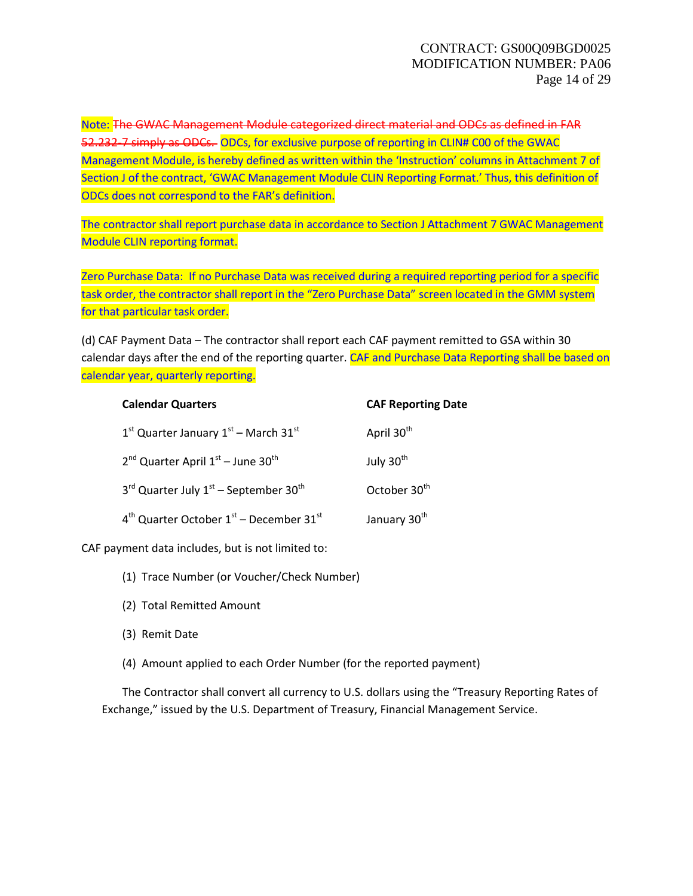Note: The GWAC Management Module categorized direct material and ODCs as defined in FAR 52.232-7 simply as ODCs. ODCs, for exclusive purpose of reporting in CLIN# C00 of the GWAC Management Module, is hereby defined as written within the 'Instruction' columns in Attachment 7 of Section J of the contract, 'GWAC Management Module CLIN Reporting Format.' Thus, this definition of ODCs does not correspond to the FAR's definition.

The contractor shall report purchase data in accordance to Section J Attachment 7 GWAC Management Module CLIN reporting format.

Zero Purchase Data: If no Purchase Data was received during a required reporting period for a specific task order, the contractor shall report in the "Zero Purchase Data" screen located in the GMM system for that particular task order.

(d) CAF Payment Data – The contractor shall report each CAF payment remitted to GSA within 30 calendar days after the end of the reporting quarter. CAF and Purchase Data Reporting shall be based on calendar year, quarterly reporting.

| <b>Calendar Quarters</b>                                | <b>CAF Reporting Date</b> |
|---------------------------------------------------------|---------------------------|
| $1st$ Quarter January $1st$ – March 31 <sup>st</sup>    | April 30 <sup>th</sup>    |
| $2^{nd}$ Quarter April $1^{st}$ – June 30 <sup>th</sup> | July 30 <sup>th</sup>     |
| $3rd$ Quarter July $1st$ – September 30 <sup>th</sup>   | October 30 <sup>th</sup>  |
| $4th$ Quarter October $1st$ – December 31 <sup>st</sup> | January 30th              |

CAF payment data includes, but is not limited to:

- (1) Trace Number (or Voucher/Check Number)
- (2) Total Remitted Amount
- (3) Remit Date
- (4) Amount applied to each Order Number (for the reported payment)

The Contractor shall convert all currency to U.S. dollars using the "Treasury Reporting Rates of Exchange," issued by the U.S. Department of Treasury, Financial Management Service.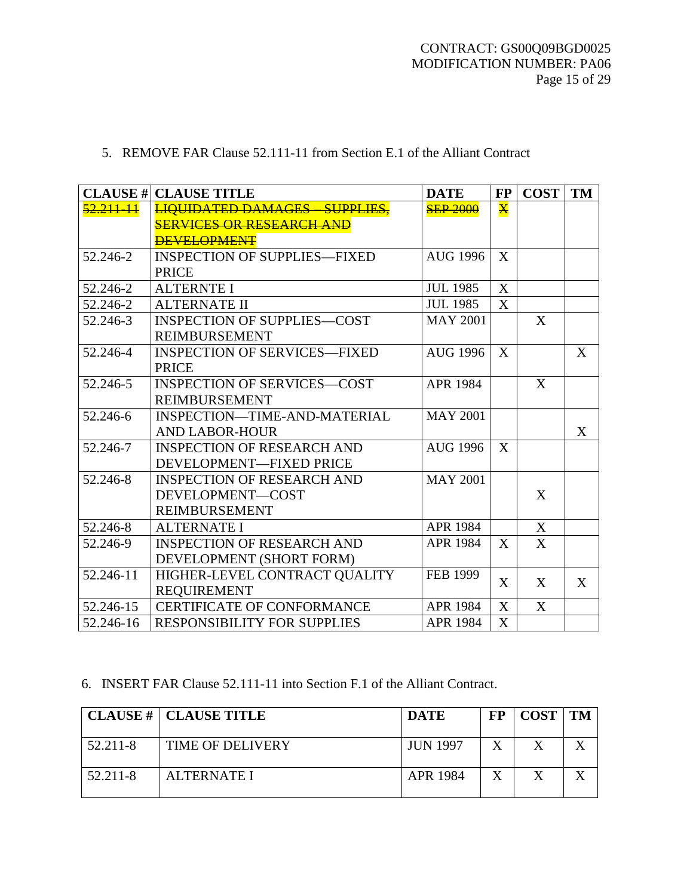# 5. REMOVE FAR Clause 52.111-11 from Section E.1 of the Alliant Contract

|                      | <b>CLAUSE # CLAUSE TITLE</b>          | <b>DATE</b>     | <b>FP</b>               | <b>COST</b> | <b>TM</b> |
|----------------------|---------------------------------------|-----------------|-------------------------|-------------|-----------|
| <del>52.211-11</del> | <b>LIQUIDATED DAMAGES - SUPPLIES.</b> | <b>SEP 2000</b> | $\overline{\textbf{X}}$ |             |           |
|                      | <b>SERVICES OR RESEARCH AND</b>       |                 |                         |             |           |
|                      | <b>DEVELOPMENT</b>                    |                 |                         |             |           |
| 52.246-2             | <b>INSPECTION OF SUPPLIES-FIXED</b>   | <b>AUG 1996</b> | X                       |             |           |
|                      | <b>PRICE</b>                          |                 |                         |             |           |
| 52.246-2             | <b>ALTERNTE I</b>                     | <b>JUL 1985</b> | X                       |             |           |
| 52.246-2             | <b>ALTERNATE II</b>                   | <b>JUL 1985</b> | X                       |             |           |
| 52.246-3             | <b>INSPECTION OF SUPPLIES-COST</b>    | <b>MAY 2001</b> |                         | X           |           |
|                      | <b>REIMBURSEMENT</b>                  |                 |                         |             |           |
| 52.246-4             | <b>INSPECTION OF SERVICES-FIXED</b>   | <b>AUG 1996</b> | X                       |             | X         |
|                      | <b>PRICE</b>                          |                 |                         |             |           |
| 52.246-5             | <b>INSPECTION OF SERVICES-COST</b>    | <b>APR 1984</b> |                         | X           |           |
|                      | <b>REIMBURSEMENT</b>                  |                 |                         |             |           |
| 52.246-6             | INSPECTION-TIME-AND-MATERIAL          | <b>MAY 2001</b> |                         |             |           |
|                      | <b>AND LABOR-HOUR</b>                 |                 |                         |             | X         |
| 52.246-7             | <b>INSPECTION OF RESEARCH AND</b>     | <b>AUG 1996</b> | $\mathbf{X}$            |             |           |
|                      | DEVELOPMENT-FIXED PRICE               |                 |                         |             |           |
| 52.246-8             | <b>INSPECTION OF RESEARCH AND</b>     | <b>MAY 2001</b> |                         |             |           |
|                      | DEVELOPMENT-COST                      |                 |                         | X           |           |
|                      | <b>REIMBURSEMENT</b>                  |                 |                         |             |           |
| 52.246-8             | <b>ALTERNATE I</b>                    | <b>APR 1984</b> |                         | X           |           |
| 52.246-9             | <b>INSPECTION OF RESEARCH AND</b>     | <b>APR 1984</b> | X                       | X           |           |
|                      | DEVELOPMENT (SHORT FORM)              |                 |                         |             |           |
| 52.246-11            | HIGHER-LEVEL CONTRACT QUALITY         | <b>FEB 1999</b> | $\mathbf{X}$            | X           | X         |
|                      | <b>REQUIREMENT</b>                    |                 |                         |             |           |
| 52.246-15            | <b>CERTIFICATE OF CONFORMANCE</b>     | <b>APR 1984</b> | X                       | X           |           |
| 52.246-16            | <b>RESPONSIBILITY FOR SUPPLIES</b>    | <b>APR 1984</b> | X                       |             |           |

# 6. INSERT FAR Clause 52.111-11 into Section F.1 of the Alliant Contract.

|          | CLAUSE #   CLAUSE TITLE | <b>DATE</b>     | FP   COST   TM |             |
|----------|-------------------------|-----------------|----------------|-------------|
| 52.211-8 | <b>TIME OF DELIVERY</b> | <b>JUN 1997</b> |                | $\mathbf v$ |
| 52.211-8 | ALTERNATE I             | <b>APR 1984</b> |                |             |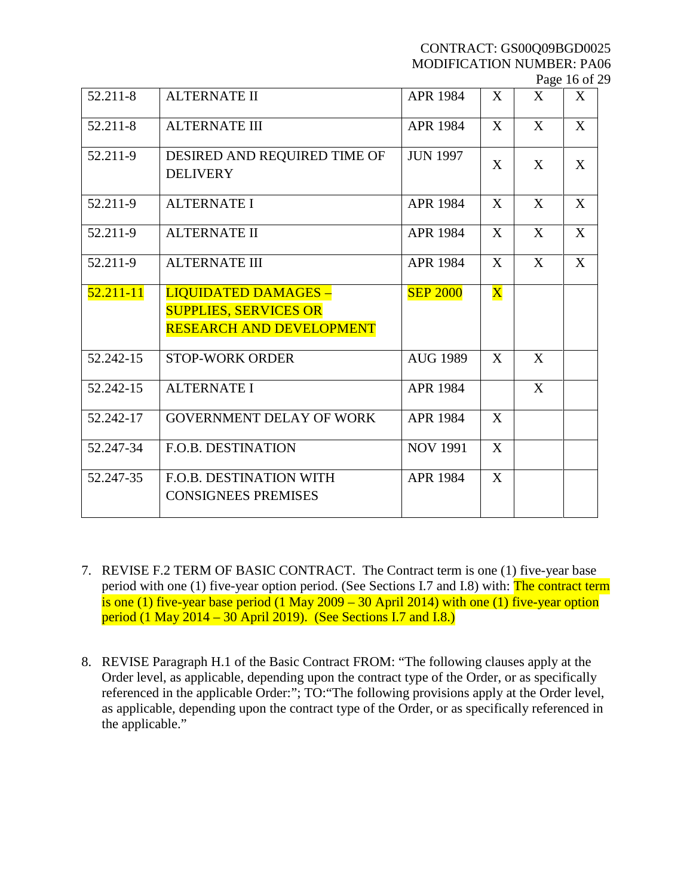#### CONTRACT: GS00Q09BGD0025 MODIFICATION NUMBER: PA06 Page 16 of 29

| 52.211-8      | <b>ALTERNATE II</b>                                                                            | <b>APR 1984</b> | X           | X | X |
|---------------|------------------------------------------------------------------------------------------------|-----------------|-------------|---|---|
| $52.211 - 8$  | <b>ALTERNATE III</b>                                                                           | <b>APR 1984</b> | X           | X | X |
| 52.211-9      | DESIRED AND REQUIRED TIME OF<br><b>DELIVERY</b>                                                | <b>JUN 1997</b> | X           | X | X |
| 52.211-9      | <b>ALTERNATE I</b>                                                                             | <b>APR 1984</b> | X           | X | X |
| 52.211-9      | <b>ALTERNATE II</b>                                                                            | <b>APR 1984</b> | X           | X | X |
| 52.211-9      | <b>ALTERNATE III</b>                                                                           | <b>APR 1984</b> | X           | X | X |
| $52.211 - 11$ | <b>LIQUIDATED DAMAGES -</b><br><b>SUPPLIES, SERVICES OR</b><br><b>RESEARCH AND DEVELOPMENT</b> | <b>SEP 2000</b> | $\mathbf X$ |   |   |
| 52.242-15     | <b>STOP-WORK ORDER</b>                                                                         | <b>AUG 1989</b> | X           | X |   |
| 52.242-15     | <b>ALTERNATE I</b>                                                                             | <b>APR 1984</b> |             | X |   |
| 52.242-17     | <b>GOVERNMENT DELAY OF WORK</b>                                                                | <b>APR 1984</b> | X           |   |   |
| 52.247-34     | <b>F.O.B. DESTINATION</b>                                                                      | <b>NOV 1991</b> | X           |   |   |
| 52.247-35     | F.O.B. DESTINATION WITH<br><b>CONSIGNEES PREMISES</b>                                          | <b>APR 1984</b> | X           |   |   |

- 7. REVISE F.2 TERM OF BASIC CONTRACT. The Contract term is one (1) five-year base period with one (1) five-year option period. (See Sections I.7 and I.8) with: The contract term is one (1) five-year base period (1 May 2009 – 30 April 2014) with one (1) five-year option period (1 May 2014 – 30 April 2019). (See Sections I.7 and I.8.)
- 8. REVISE Paragraph H.1 of the Basic Contract FROM: "The following clauses apply at the Order level, as applicable, depending upon the contract type of the Order, or as specifically referenced in the applicable Order:"; TO:"The following provisions apply at the Order level, as applicable, depending upon the contract type of the Order, or as specifically referenced in the applicable."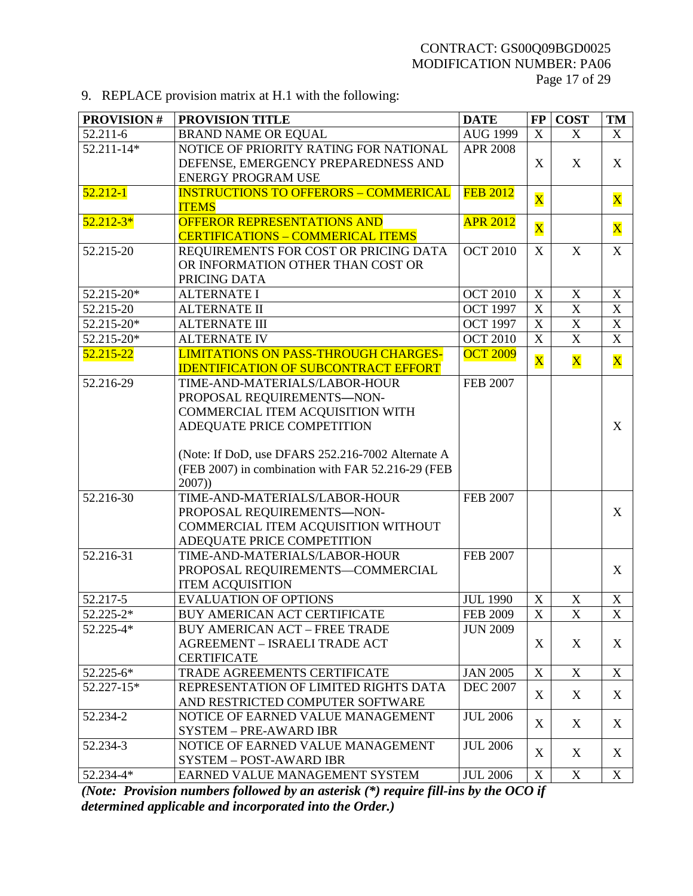9. REPLACE provision matrix at H.1 with the following:

| <b>PROVISION#</b> | <b>PROVISION TITLE</b>                            | <b>DATE</b>           | $\bf FP$                  | <b>COST</b>               | <b>TM</b>                 |
|-------------------|---------------------------------------------------|-----------------------|---------------------------|---------------------------|---------------------------|
| 52.211-6          | <b>BRAND NAME OR EQUAL</b>                        | <b>AUG 1999</b>       | $\boldsymbol{\mathrm{X}}$ | X                         | X                         |
| 52.211-14*        | NOTICE OF PRIORITY RATING FOR NATIONAL            | <b>APR 2008</b>       |                           |                           |                           |
|                   | DEFENSE, EMERGENCY PREPAREDNESS AND               |                       | X                         | X                         | X                         |
|                   | <b>ENERGY PROGRAM USE</b>                         |                       |                           |                           |                           |
| $52.212 - 1$      | <b>INSTRUCTIONS TO OFFERORS - COMMERICAL</b>      | <b>FEB 2012</b>       | $\overline{\mathbf{X}}$   |                           | $\overline{\textbf{X}}$   |
|                   | <b>ITEMS</b>                                      |                       |                           |                           |                           |
| $52.212 - 3*$     | OFFEROR REPRESENTATIONS AND                       | <b>APR 2012</b>       | $\overline{\text{X}}$     |                           | $\overline{\textbf{X}}$   |
|                   | <b>CERTIFICATIONS - COMMERICAL ITEMS</b>          |                       |                           |                           |                           |
| 52.215-20         | REQUIREMENTS FOR COST OR PRICING DATA             | <b>OCT 2010</b>       | X                         | X                         | $\overline{X}$            |
|                   | OR INFORMATION OTHER THAN COST OR                 |                       |                           |                           |                           |
|                   | PRICING DATA                                      |                       |                           |                           |                           |
| $52.215 - 20*$    | <b>ALTERNATE I</b>                                | <b>OCT 2010</b>       | $\mathbf X$               | $\mathbf X$               | X                         |
| 52.215-20         | <b>ALTERNATE II</b>                               | <b>OCT 1997</b>       | $\overline{X}$            | $\boldsymbol{\mathrm{X}}$ | $\mathbf X$               |
| 52.215-20*        | <b>ALTERNATE III</b>                              | <b>OCT 1997</b>       | $\mathbf X$               | $\boldsymbol{\mathrm{X}}$ | X                         |
| 52.215-20*        | <b>ALTERNATE IV</b>                               | $\overline{OCT}$ 2010 | $\overline{X}$            | $\mathbf X$               | $\mathbf X$               |
| 52.215-22         | <b>LIMITATIONS ON PASS-THROUGH CHARGES-</b>       | <b>OCT 2009</b>       | $\overline{\textbf{X}}$   | $\overline{\textbf{X}}$   | $\overline{\textbf{X}}$   |
|                   | <b>IDENTIFICATION OF SUBCONTRACT EFFORT</b>       |                       |                           |                           |                           |
| 52.216-29         | TIME-AND-MATERIALS/LABOR-HOUR                     | <b>FEB 2007</b>       |                           |                           |                           |
|                   | PROPOSAL REQUIREMENTS-NON-                        |                       |                           |                           |                           |
|                   | COMMERCIAL ITEM ACQUISITION WITH                  |                       |                           |                           |                           |
|                   | ADEQUATE PRICE COMPETITION                        |                       |                           |                           | X                         |
|                   |                                                   |                       |                           |                           |                           |
|                   | (Note: If DoD, use DFARS 252.216-7002 Alternate A |                       |                           |                           |                           |
|                   | (FEB 2007) in combination with FAR 52.216-29 (FEB |                       |                           |                           |                           |
|                   | 2007)                                             |                       |                           |                           |                           |
| 52.216-30         | TIME-AND-MATERIALS/LABOR-HOUR                     | <b>FEB 2007</b>       |                           |                           |                           |
|                   | PROPOSAL REQUIREMENTS-NON-                        |                       |                           |                           | X                         |
|                   | COMMERCIAL ITEM ACQUISITION WITHOUT               |                       |                           |                           |                           |
|                   | ADEQUATE PRICE COMPETITION                        |                       |                           |                           |                           |
| 52.216-31         | TIME-AND-MATERIALS/LABOR-HOUR                     | <b>FEB 2007</b>       |                           |                           |                           |
|                   | PROPOSAL REQUIREMENTS-COMMERCIAL                  |                       |                           |                           | X                         |
|                   | <b>ITEM ACQUISITION</b>                           |                       |                           |                           |                           |
| 52.217-5          | <b>EVALUATION OF OPTIONS</b>                      | <b>JUL 1990</b>       | $\mathbf X$               | $\mathbf X$               | $\boldsymbol{\mathrm{X}}$ |
| 52.225-2*         | BUY AMERICAN ACT CERTIFICATE                      | <b>FEB 2009</b>       | $\overline{X}$            | $\overline{\mathbf{X}}$   | $\mathbf X$               |
| 52.225-4*         | <b>BUY AMERICAN ACT - FREE TRADE</b>              | <b>JUN 2009</b>       |                           |                           |                           |
|                   | <b>AGREEMENT - ISRAELI TRADE ACT</b>              |                       | X                         | X                         | X                         |
|                   | <b>CERTIFICATE</b>                                |                       |                           |                           |                           |
| $52.225 - 6*$     | TRADE AGREEMENTS CERTIFICATE                      | <b>JAN 2005</b>       | $\mathbf X$               | X                         | X                         |
| 52.227-15*        | REPRESENTATION OF LIMITED RIGHTS DATA             | <b>DEC 2007</b>       |                           |                           |                           |
|                   | AND RESTRICTED COMPUTER SOFTWARE                  |                       | X                         | X                         | X                         |
| 52.234-2          | NOTICE OF EARNED VALUE MANAGEMENT                 | <b>JUL 2006</b>       |                           |                           |                           |
|                   | <b>SYSTEM - PRE-AWARD IBR</b>                     |                       | X                         | X                         | X                         |
| 52.234-3          | NOTICE OF EARNED VALUE MANAGEMENT                 | <b>JUL 2006</b>       |                           |                           |                           |
|                   | <b>SYSTEM - POST-AWARD IBR</b>                    |                       | X                         | X                         | X                         |
| $52.234 - 4*$     | EARNED VALUE MANAGEMENT SYSTEM                    | <b>JUL 2006</b>       | X                         | X                         | X                         |
|                   |                                                   |                       |                           |                           |                           |

*(Note: Provision numbers followed by an asterisk (\*) require fill-ins by the OCO if determined applicable and incorporated into the Order.)*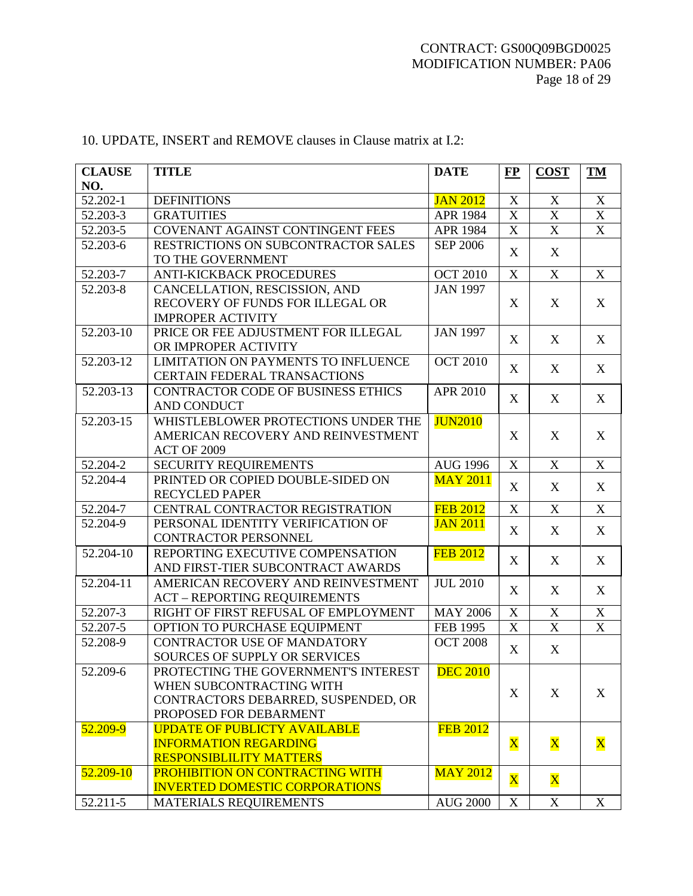| <b>CLAUSE</b><br>NO. | <b>TITLE</b>                                                                                                                      | <b>DATE</b>     | $\bf FP$                | <b>COST</b>             | <b>TM</b>               |
|----------------------|-----------------------------------------------------------------------------------------------------------------------------------|-----------------|-------------------------|-------------------------|-------------------------|
| 52.202-1             | <b>DEFINITIONS</b>                                                                                                                | <b>JAN 2012</b> | X                       | X                       | $\mathbf X$             |
| 52.203-3             | <b>GRATUITIES</b>                                                                                                                 | APR 1984        | $\mathbf X$             | $\overline{X}$          | $\overline{\mathbf{X}}$ |
| 52.203-5             | <b>COVENANT AGAINST CONTINGENT FEES</b>                                                                                           | <b>APR 1984</b> | $\mathbf X$             | $\mathbf X$             | X                       |
| 52.203-6             | RESTRICTIONS ON SUBCONTRACTOR SALES<br>TO THE GOVERNMENT                                                                          | <b>SEP 2006</b> | X                       | X                       |                         |
| 52.203-7             | <b>ANTI-KICKBACK PROCEDURES</b>                                                                                                   | <b>OCT 2010</b> | $\mathbf X$             | $\mathbf X$             | $\mathbf X$             |
| 52.203-8             | CANCELLATION, RESCISSION, AND<br>RECOVERY OF FUNDS FOR ILLEGAL OR<br><b>IMPROPER ACTIVITY</b>                                     | <b>JAN 1997</b> | X                       | X                       | X                       |
| 52.203-10            | PRICE OR FEE ADJUSTMENT FOR ILLEGAL<br>OR IMPROPER ACTIVITY                                                                       | <b>JAN 1997</b> | X                       | X                       | X                       |
| 52.203-12            | LIMITATION ON PAYMENTS TO INFLUENCE<br><b>CERTAIN FEDERAL TRANSACTIONS</b>                                                        | <b>OCT 2010</b> | X                       | X                       | X                       |
| 52.203-13            | <b>CONTRACTOR CODE OF BUSINESS ETHICS</b><br><b>AND CONDUCT</b>                                                                   | APR 2010        | X                       | X                       | X                       |
| 52.203-15            | WHISTLEBLOWER PROTECTIONS UNDER THE<br>AMERICAN RECOVERY AND REINVESTMENT<br><b>ACT OF 2009</b>                                   | <b>JUN2010</b>  | X                       | X                       | X                       |
| 52.204-2             | <b>SECURITY REQUIREMENTS</b>                                                                                                      | <b>AUG 1996</b> | X                       | X                       | $\mathbf X$             |
| 52.204-4             | PRINTED OR COPIED DOUBLE-SIDED ON<br><b>RECYCLED PAPER</b>                                                                        | <b>MAY 2011</b> | X                       | X                       | X                       |
| 52.204-7             | CENTRAL CONTRACTOR REGISTRATION                                                                                                   | <b>FEB 2012</b> | X                       | X                       | X                       |
| 52.204-9             | PERSONAL IDENTITY VERIFICATION OF<br><b>CONTRACTOR PERSONNEL</b>                                                                  | <b>JAN 2011</b> | X                       | X                       | X                       |
| 52.204-10            | REPORTING EXECUTIVE COMPENSATION<br>AND FIRST-TIER SUBCONTRACT AWARDS                                                             | <b>FEB 2012</b> | X                       | X                       | X                       |
| 52.204-11            | AMERICAN RECOVERY AND REINVESTMENT<br><b>ACT - REPORTING REQUIREMENTS</b>                                                         | <b>JUL 2010</b> | X                       | X                       | X                       |
| $52.207 - 3$         | RIGHT OF FIRST REFUSAL OF EMPLOYMENT                                                                                              | <b>MAY 2006</b> | $\mathbf X$             | $\overline{\mathbf{X}}$ | $\mathbf X$             |
| 52.207-5             | OPTION TO PURCHASE EQUIPMENT                                                                                                      | FEB 1995        | $\mathbf X$             | $\mathbf X$             | X                       |
| 52.208-9             | <b>CONTRACTOR USE OF MANDATORY</b><br>SOURCES OF SUPPLY OR SERVICES                                                               | <b>OCT 2008</b> | X                       | X                       |                         |
| 52.209-6             | PROTECTING THE GOVERNMENT'S INTEREST<br>WHEN SUBCONTRACTING WITH<br>CONTRACTORS DEBARRED, SUSPENDED, OR<br>PROPOSED FOR DEBARMENT | <b>DEC 2010</b> | X                       | X                       | X                       |
| 52.209-9             | <b>UPDATE OF PUBLICTY AVAILABLE</b><br><b>INFORMATION REGARDING</b><br><b>RESPONSIBLILITY MATTERS</b>                             | <b>FEB 2012</b> | $\overline{\mathbf{X}}$ | $\mathbf X$             | $\overline{\textbf{X}}$ |
| 52.209-10            | <b>PROHIBITION ON CONTRACTING WITH</b><br><b>INVERTED DOMESTIC CORPORATIONS</b>                                                   | <b>MAY 2012</b> | $\overline{\text{X}}$   | $\overline{\mathbf{X}}$ |                         |
| 52.211-5             | MATERIALS REQUIREMENTS                                                                                                            | <b>AUG 2000</b> | X                       | X                       | X                       |

# 10. UPDATE, INSERT and REMOVE clauses in Clause matrix at I.2: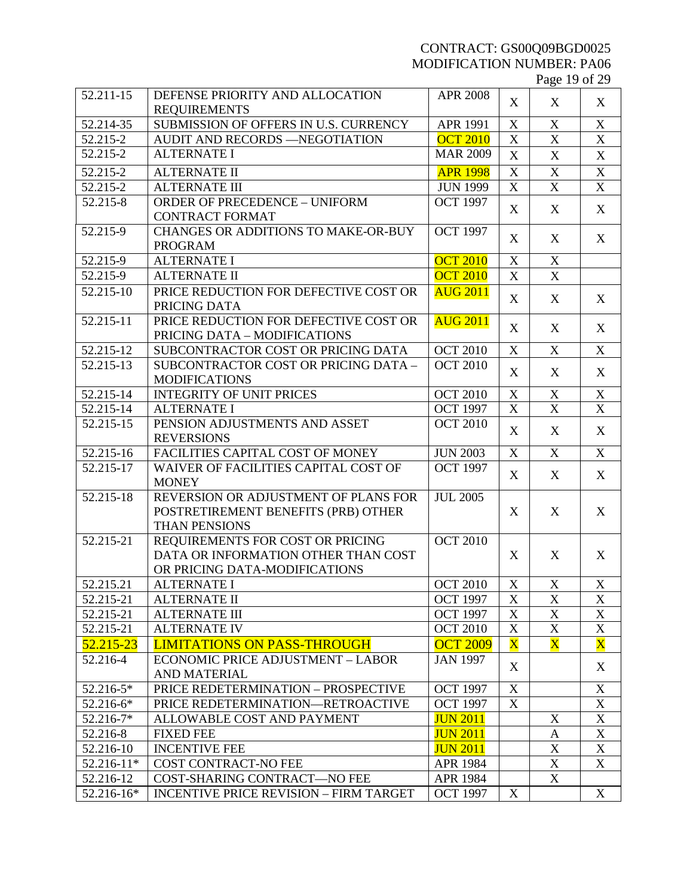| Page 19 of 29 |  |  |
|---------------|--|--|
|---------------|--|--|

| 52.211-15             | DEFENSE PRIORITY AND ALLOCATION                                         | <b>APR 2008</b>             | X                         | X                       | X                         |
|-----------------------|-------------------------------------------------------------------------|-----------------------------|---------------------------|-------------------------|---------------------------|
|                       | <b>REQUIREMENTS</b>                                                     |                             | $\mathbf X$               | $\mathbf X$             | $\mathbf X$               |
| 52.214-35<br>52.215-2 | SUBMISSION OF OFFERS IN U.S. CURRENCY<br>AUDIT AND RECORDS -NEGOTIATION | APR 1991<br><b>OCT 2010</b> | $\boldsymbol{\mathrm{X}}$ | $\mathbf X$             | $\mathbf X$               |
| 52.215-2              | <b>ALTERNATE I</b>                                                      | <b>MAR 2009</b>             |                           |                         |                           |
|                       |                                                                         |                             | $\mathbf X$               | $\mathbf X$             | $\mathbf X$               |
| 52.215-2              | <b>ALTERNATE II</b>                                                     | <b>APR 1998</b>             | $\mathbf X$               | $\mathbf X$             | $\overline{X}$            |
| 52.215-2              | <b>ALTERNATE III</b>                                                    | <b>JUN 1999</b>             | X                         | $\overline{\mathbf{X}}$ | X                         |
| 52.215-8              | ORDER OF PRECEDENCE - UNIFORM                                           | <b>OCT 1997</b>             | X                         | X                       | X                         |
|                       | <b>CONTRACT FORMAT</b>                                                  |                             |                           |                         |                           |
| 52.215-9              | CHANGES OR ADDITIONS TO MAKE-OR-BUY                                     | <b>OCT 1997</b>             | X                         | X                       | X                         |
| 52.215-9              | <b>PROGRAM</b><br><b>ALTERNATE I</b>                                    | <b>OCT 2010</b>             | X                         | $\mathbf X$             |                           |
| 52.215-9              | <b>ALTERNATE II</b>                                                     | <b>OCT 2010</b>             | X                         | X                       |                           |
|                       |                                                                         |                             |                           |                         |                           |
| 52.215-10             | PRICE REDUCTION FOR DEFECTIVE COST OR                                   | <b>AUG 2011</b>             | X                         | X                       | X                         |
| 52.215-11             | PRICING DATA<br>PRICE REDUCTION FOR DEFECTIVE COST OR                   |                             |                           |                         |                           |
|                       | PRICING DATA - MODIFICATIONS                                            | <b>AUG 2011</b>             | X                         | X                       | X                         |
| 52.215-12             | SUBCONTRACTOR COST OR PRICING DATA                                      | <b>OCT 2010</b>             | $\mathbf X$               | $\overline{\mathbf{X}}$ | $\overline{\mathbf{X}}$   |
| 52.215-13             | SUBCONTRACTOR COST OR PRICING DATA -                                    | <b>OCT 2010</b>             |                           |                         |                           |
|                       | <b>MODIFICATIONS</b>                                                    |                             | $\boldsymbol{\mathrm{X}}$ | X                       | X                         |
| 52.215-14             | <b>INTEGRITY OF UNIT PRICES</b>                                         | <b>OCT 2010</b>             | $\mathbf X$               | $\mathbf X$             | $\mathbf X$               |
| 52.215-14             | <b>ALTERNATE I</b>                                                      | OCT 1997                    | $\mathbf X$               | $\overline{X}$          | $\mathbf X$               |
| 52.215-15             | PENSION ADJUSTMENTS AND ASSET                                           | <b>OCT 2010</b>             |                           |                         |                           |
|                       | <b>REVERSIONS</b>                                                       |                             | $\boldsymbol{\mathrm{X}}$ | X                       | X                         |
| 52.215-16             | FACILITIES CAPITAL COST OF MONEY                                        | <b>JUN 2003</b>             | $\mathbf X$               | X                       | $\mathbf X$               |
| 52.215-17             | WAIVER OF FACILITIES CAPITAL COST OF                                    | <b>OCT 1997</b>             |                           |                         |                           |
|                       | <b>MONEY</b>                                                            |                             | X                         | X                       | X                         |
| 52.215-18             | REVERSION OR ADJUSTMENT OF PLANS FOR                                    | <b>JUL 2005</b>             |                           |                         |                           |
|                       | POSTRETIREMENT BENEFITS (PRB) OTHER                                     |                             | X                         | X                       | X                         |
|                       | <b>THAN PENSIONS</b>                                                    |                             |                           |                         |                           |
| 52.215-21             | REQUIREMENTS FOR COST OR PRICING                                        | <b>OCT 2010</b>             |                           |                         |                           |
|                       | DATA OR INFORMATION OTHER THAN COST                                     |                             | X                         | X                       | X                         |
|                       | OR PRICING DATA-MODIFICATIONS                                           |                             |                           |                         |                           |
| 52.215.21             | <b>ALTERNATE I</b>                                                      | <b>OCT 2010</b>             | X                         | $\mathbf X$             | $\mathbf X$               |
| 52.215-21             | <b>ALTERNATE II</b>                                                     | <b>OCT 1997</b>             | X                         | $\mathbf X$             | X                         |
| 52.215-21             | <b>ALTERNATE III</b>                                                    | <b>OCT 1997</b>             | X                         | $\mathbf X$             | $\boldsymbol{\mathrm{X}}$ |
| 52.215-21             | <b>ALTERNATE IV</b>                                                     | <b>OCT 2010</b>             | X                         | X                       | $\boldsymbol{\mathrm{X}}$ |
| 52.215-23             | <b>LIMITATIONS ON PASS-THROUGH</b>                                      | <b>OCT 2009</b>             | $\overline{\textbf{X}}$   | $\overline{\mathbf{X}}$ | $\overline{\textbf{X}}$   |
| 52.216-4              | <b>ECONOMIC PRICE ADJUSTMENT - LABOR</b>                                | <b>JAN 1997</b>             | X                         |                         | X                         |
|                       | AND MATERIAL                                                            |                             |                           |                         |                           |
| $52.216 - 5*$         | PRICE REDETERMINATION - PROSPECTIVE                                     | <b>OCT 1997</b>             | $\boldsymbol{\mathrm{X}}$ |                         | $\boldsymbol{X}$          |
| 52.216-6*             | PRICE REDETERMINATION-RETROACTIVE                                       | <b>OCT 1997</b>             | X                         |                         | $\mathbf X$               |
| 52.216-7*             | ALLOWABLE COST AND PAYMENT                                              | <b>JUN 2011</b>             |                           | X                       | $\mathbf X$               |
| 52.216-8              | <b>FIXED FEE</b>                                                        | <b>JUN 2011</b>             |                           | A                       | $\mathbf X$               |
| 52.216-10             | <b>INCENTIVE FEE</b>                                                    | <b>JUN 2011</b>             |                           | $\mathbf X$             | $\mathbf X$               |
| 52.216-11*            | COST CONTRACT-NO FEE                                                    | APR 1984                    |                           | $\mathbf X$             | X                         |
| 52.216-12             | COST-SHARING CONTRACT-NO FEE                                            | APR 1984                    |                           | X                       |                           |
| 52.216-16*            | <b>INCENTIVE PRICE REVISION - FIRM TARGET</b>                           | <b>OCT 1997</b>             | X                         |                         | X                         |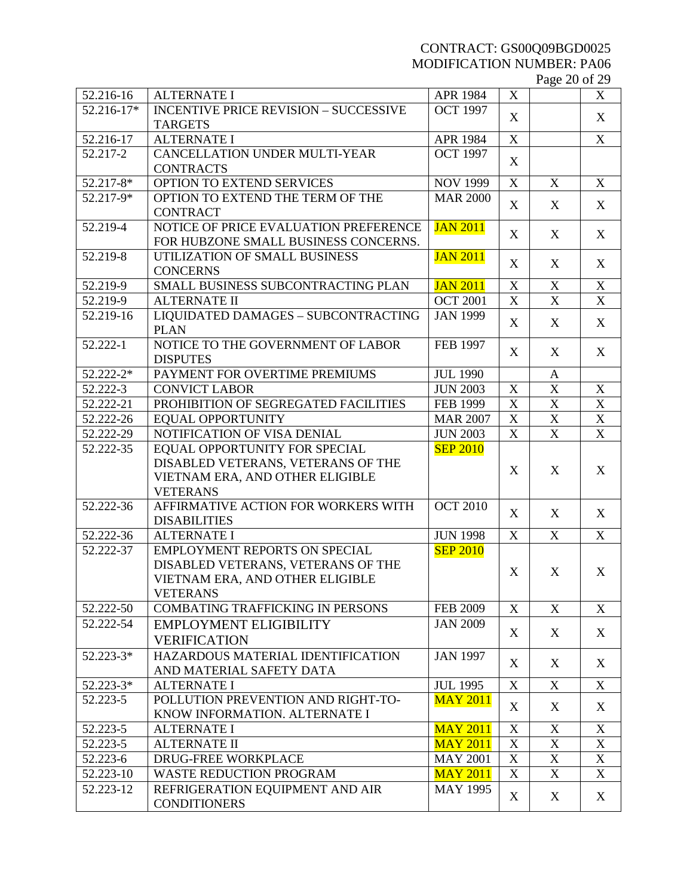| Page 20 of 29 |  |  |  |  |
|---------------|--|--|--|--|
|---------------|--|--|--|--|

|            |                                              |                 |                       | ັ                       |                         |
|------------|----------------------------------------------|-----------------|-----------------------|-------------------------|-------------------------|
| 52.216-16  | <b>ALTERNATE I</b>                           | APR 1984        | X                     |                         | X                       |
| 52.216-17* | <b>INCENTIVE PRICE REVISION - SUCCESSIVE</b> | <b>OCT 1997</b> | X                     |                         | X                       |
|            | <b>TARGETS</b>                               |                 |                       |                         |                         |
| 52.216-17  | <b>ALTERNATE I</b>                           | APR 1984        | $\mathbf X$           |                         | X                       |
| 52.217-2   | CANCELLATION UNDER MULTI-YEAR                | <b>OCT 1997</b> | X                     |                         |                         |
|            | <b>CONTRACTS</b>                             |                 |                       |                         |                         |
| 52.217-8*  | OPTION TO EXTEND SERVICES                    | <b>NOV 1999</b> | X                     | $\boldsymbol{X}$        | X                       |
| 52.217-9*  | OPTION TO EXTEND THE TERM OF THE             | <b>MAR 2000</b> | X                     | X                       | X                       |
|            | <b>CONTRACT</b>                              |                 |                       |                         |                         |
| 52.219-4   | NOTICE OF PRICE EVALUATION PREFERENCE        | <b>JAN 2011</b> | X                     | X                       | X                       |
|            | FOR HUBZONE SMALL BUSINESS CONCERNS.         |                 |                       |                         |                         |
| 52.219-8   | UTILIZATION OF SMALL BUSINESS                | <b>JAN 2011</b> | X                     | X                       | X                       |
|            | <b>CONCERNS</b>                              |                 |                       |                         |                         |
| 52.219-9   | SMALL BUSINESS SUBCONTRACTING PLAN           | <b>JAN 2011</b> | X                     | $\mathbf X$             | $\mathbf X$             |
| 52.219-9   | <b>ALTERNATE II</b>                          | <b>OCT 2001</b> | X                     | X                       | X                       |
| 52.219-16  | LIQUIDATED DAMAGES - SUBCONTRACTING          | <b>JAN 1999</b> | X                     | X                       | X                       |
|            | <b>PLAN</b>                                  |                 |                       |                         |                         |
| 52.222-1   | NOTICE TO THE GOVERNMENT OF LABOR            | <b>FEB 1997</b> | X                     | X                       | X                       |
|            | <b>DISPUTES</b>                              |                 |                       |                         |                         |
| 52.222-2*  | PAYMENT FOR OVERTIME PREMIUMS                | <b>JUL 1990</b> |                       | $\mathbf{A}$            |                         |
| 52.222-3   | <b>CONVICT LABOR</b>                         | <b>JUN 2003</b> | $\mathbf X$           | $\overline{\mathbf{X}}$ | $\mathbf X$             |
| 52.222-21  | PROHIBITION OF SEGREGATED FACILITIES         | FEB 1999        | $\mathbf X$           | $\overline{\mathbf{X}}$ | $\overline{\mathbf{X}}$ |
| 52.222-26  | <b>EQUAL OPPORTUNITY</b>                     | <b>MAR 2007</b> | $\mathbf X$           | $\overline{X}$          | $\overline{X}$          |
| 52.222-29  | NOTIFICATION OF VISA DENIAL                  | <b>JUN 2003</b> | $\overline{\text{X}}$ | $\overline{X}$          | $\overline{\text{X}}$   |
| 52.222-35  | EQUAL OPPORTUNITY FOR SPECIAL                | <b>SEP 2010</b> |                       |                         |                         |
|            | DISABLED VETERANS, VETERANS OF THE           |                 |                       |                         |                         |
|            | VIETNAM ERA, AND OTHER ELIGIBLE              |                 | X                     | X                       | X                       |
|            | <b>VETERANS</b>                              |                 |                       |                         |                         |
| 52.222-36  | AFFIRMATIVE ACTION FOR WORKERS WITH          | <b>OCT 2010</b> | X                     |                         |                         |
|            | <b>DISABILITIES</b>                          |                 |                       | X                       | X                       |
| 52.222-36  | <b>ALTERNATE I</b>                           | <b>JUN 1998</b> | X                     | X                       | X                       |
| 52.222-37  | <b>EMPLOYMENT REPORTS ON SPECIAL</b>         | <b>SEP 2010</b> |                       |                         |                         |
|            | DISABLED VETERANS, VETERANS OF THE           |                 | X                     | X                       | X                       |
|            | VIETNAM ERA, AND OTHER ELIGIBLE              |                 |                       |                         |                         |
|            | VETERANS                                     |                 |                       |                         |                         |
| 52.222-50  | <b>COMBATING TRAFFICKING IN PERSONS</b>      | <b>FEB 2009</b> | X                     | X                       | X                       |
| 52.222-54  | <b>EMPLOYMENT ELIGIBILITY</b>                | <b>JAN 2009</b> |                       |                         |                         |
|            | <b>VERIFICATION</b>                          |                 | X                     | X                       | X                       |
| 52.223-3*  | HAZARDOUS MATERIAL IDENTIFICATION            | <b>JAN 1997</b> |                       |                         |                         |
|            | AND MATERIAL SAFETY DATA                     |                 | X                     | X                       | X                       |
| 52.223-3*  | <b>ALTERNATE I</b>                           | <b>JUL 1995</b> | X                     | X                       | X                       |
| 52.223-5   | POLLUTION PREVENTION AND RIGHT-TO-           | <b>MAY 2011</b> |                       |                         |                         |
|            | KNOW INFORMATION. ALTERNATE I                |                 | X                     | X                       | X                       |
| 52.223-5   | <b>ALTERNATE I</b>                           | <b>MAY 2011</b> | X                     | X                       | X                       |
| 52.223-5   | <b>ALTERNATE II</b>                          | <b>MAY 2011</b> | $\mathbf X$           | $\mathbf X$             | X                       |
| 52.223-6   | DRUG-FREE WORKPLACE                          | <b>MAY 2001</b> | $\mathbf X$           | $\mathbf X$             | $\mathbf X$             |
| 52.223-10  | <b>WASTE REDUCTION PROGRAM</b>               | <b>MAY 2011</b> | X                     | X                       | X                       |
| 52.223-12  | REFRIGERATION EQUIPMENT AND AIR              | <b>MAY 1995</b> |                       |                         |                         |
|            | <b>CONDITIONERS</b>                          |                 | X                     | X                       | X                       |
|            |                                              |                 |                       |                         |                         |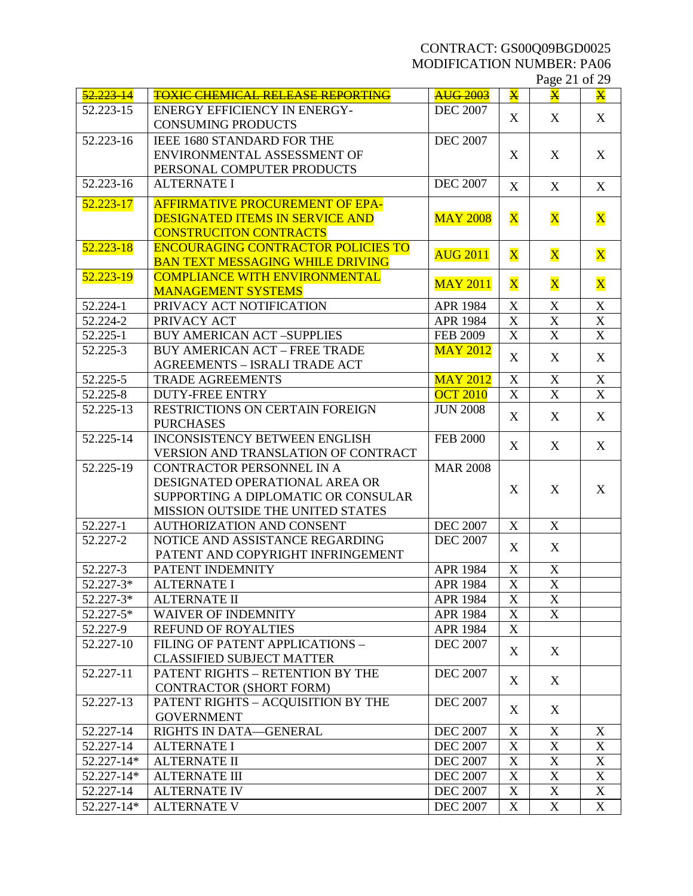| 52.223-14     | <b>TOXIC CHEMICAL RELEASE REPORTING</b>                               | <b>AUG 2003</b> | $\overline{\textbf{X}}$ | $\overline{\textbf{X}}$   | $\overline{\textbf{X}}$   |
|---------------|-----------------------------------------------------------------------|-----------------|-------------------------|---------------------------|---------------------------|
| 52.223-15     | <b>ENERGY EFFICIENCY IN ENERGY-</b>                                   | <b>DEC 2007</b> | X                       | X                         | X                         |
|               | <b>CONSUMING PRODUCTS</b>                                             |                 |                         |                           |                           |
| 52.223-16     | IEEE 1680 STANDARD FOR THE                                            | <b>DEC 2007</b> |                         |                           |                           |
|               | ENVIRONMENTAL ASSESSMENT OF                                           |                 | X                       | X                         | X                         |
|               | PERSONAL COMPUTER PRODUCTS                                            |                 |                         |                           |                           |
| 52.223-16     | <b>ALTERNATE I</b>                                                    | <b>DEC 2007</b> | X                       | X                         | $\mathbf X$               |
| 52.223-17     | <b>AFFIRMATIVE PROCUREMENT OF EPA-</b>                                |                 |                         |                           |                           |
|               | <b>DESIGNATED ITEMS IN SERVICE AND</b>                                | <b>MAY 2008</b> | $\overline{\textbf{X}}$ | $\mathbf{\overline{X}}$   | $\overline{\mathbf{X}}$   |
|               | <b>CONSTRUCITON CONTRACTS</b>                                         |                 |                         |                           |                           |
| $52.223 - 18$ | <b>ENCOURAGING CONTRACTOR POLICIES TO</b>                             | <b>AUG 2011</b> | $\overline{\mathbf{X}}$ | $\overline{\text{X}}$     | $\overline{\textbf{X}}$   |
|               | <b>BAN TEXT MESSAGING WHILE DRIVING</b>                               |                 |                         |                           |                           |
| 52.223-19     | <b>COMPLIANCE WITH ENVIRONMENTAL</b>                                  | <b>MAY 2011</b> | $\overline{\textbf{X}}$ | $\overline{\textbf{X}}$   | $\overline{\textbf{X}}$   |
|               | <b>MANAGEMENT SYSTEMS</b>                                             |                 |                         |                           |                           |
| 52.224-1      | PRIVACY ACT NOTIFICATION                                              | APR 1984        | $\mathbf X$             | $\mathbf X$               | $\boldsymbol{\mathrm{X}}$ |
| 52.224-2      | PRIVACY ACT                                                           | APR 1984        | $\mathbf X$             | $\overline{X}$            | $\overline{\mathbf{X}}$   |
| 52.225-1      | <b>BUY AMERICAN ACT-SUPPLIES</b>                                      | <b>FEB 2009</b> | $\mathbf X$             | $\mathbf X$               | $\mathbf X$               |
| 52.225-3      | <b>BUY AMERICAN ACT - FREE TRADE</b>                                  | <b>MAY 2012</b> | X                       | X                         | $\mathbf X$               |
|               | <b>AGREEMENTS - ISRALI TRADE ACT</b>                                  |                 |                         |                           |                           |
| 52.225-5      | <b>TRADE AGREEMENTS</b>                                               | <b>MAY 2012</b> | $\mathbf X$             | $\mathbf X$               | $\mathbf X$               |
| 52.225-8      | <b>DUTY-FREE ENTRY</b>                                                | <b>OCT 2010</b> | X                       | $\overline{X}$            | X                         |
| 52.225-13     | RESTRICTIONS ON CERTAIN FOREIGN                                       | <b>JUN 2008</b> | X                       | X                         | X                         |
|               | <b>PURCHASES</b>                                                      |                 |                         |                           |                           |
| 52.225-14     | INCONSISTENCY BETWEEN ENGLISH                                         | <b>FEB 2000</b> | X                       | X                         | X                         |
|               | <b>VERSION AND TRANSLATION OF CONTRACT</b>                            |                 |                         |                           |                           |
| 52.225-19     | CONTRACTOR PERSONNEL IN A                                             | <b>MAR 2008</b> |                         |                           |                           |
|               | DESIGNATED OPERATIONAL AREA OR<br>SUPPORTING A DIPLOMATIC OR CONSULAR |                 | X                       | X                         | X                         |
|               | MISSION OUTSIDE THE UNITED STATES                                     |                 |                         |                           |                           |
| 52.227-1      | AUTHORIZATION AND CONSENT                                             | <b>DEC 2007</b> | $\mathbf X$             | $\boldsymbol{\mathrm{X}}$ |                           |
| 52.227-2      | NOTICE AND ASSISTANCE REGARDING                                       | <b>DEC 2007</b> |                         |                           |                           |
|               | PATENT AND COPYRIGHT INFRINGEMENT                                     |                 | X                       | X                         |                           |
| 52.227-3      | PATENT INDEMNITY                                                      | APR 1984        | X                       | $\mathbf X$               |                           |
| $52.227 - 3*$ | <b>ALTERNATE I</b>                                                    | <b>APR 1984</b> | X                       | $\overline{X}$            |                           |
| 52.227-3*     | <b>ALTERNATE II</b>                                                   | APR 1984        | X                       | X                         |                           |
| $52.227 - 5*$ | <b>WAIVER OF INDEMNITY</b>                                            | APR 1984        | X                       | X                         |                           |
| 52.227-9      | <b>REFUND OF ROYALTIES</b>                                            | <b>APR 1984</b> | X                       |                           |                           |
| 52.227-10     | FILING OF PATENT APPLICATIONS -                                       | <b>DEC 2007</b> |                         |                           |                           |
|               | <b>CLASSIFIED SUBJECT MATTER</b>                                      |                 | X                       | X                         |                           |
| 52.227-11     | PATENT RIGHTS - RETENTION BY THE                                      | <b>DEC 2007</b> |                         |                           |                           |
|               | CONTRACTOR (SHORT FORM)                                               |                 | X                       | X                         |                           |
| 52.227-13     | PATENT RIGHTS - ACQUISITION BY THE                                    | <b>DEC 2007</b> |                         |                           |                           |
|               | <b>GOVERNMENT</b>                                                     |                 | X                       | X                         |                           |
| 52.227-14     | RIGHTS IN DATA-GENERAL                                                | <b>DEC 2007</b> | X                       | X                         | X                         |
| 52.227-14     | <b>ALTERNATE I</b>                                                    | <b>DEC 2007</b> | $\mathbf X$             | $\mathbf X$               | $\mathbf X$               |
| 52.227-14*    | <b>ALTERNATE II</b>                                                   | <b>DEC 2007</b> | X                       | $\overline{X}$            | $\mathbf X$               |
| 52.227-14*    | <b>ALTERNATE III</b>                                                  | <b>DEC 2007</b> | $\mathbf X$             | $\overline{X}$            | $\mathbf X$               |
| 52.227-14     | <b>ALTERNATE IV</b>                                                   | <b>DEC 2007</b> | $\mathbf X$             | $\mathbf X$               | X                         |
| 52.227-14*    | <b>ALTERNATE V</b>                                                    | <b>DEC 2007</b> | X                       | X                         | X                         |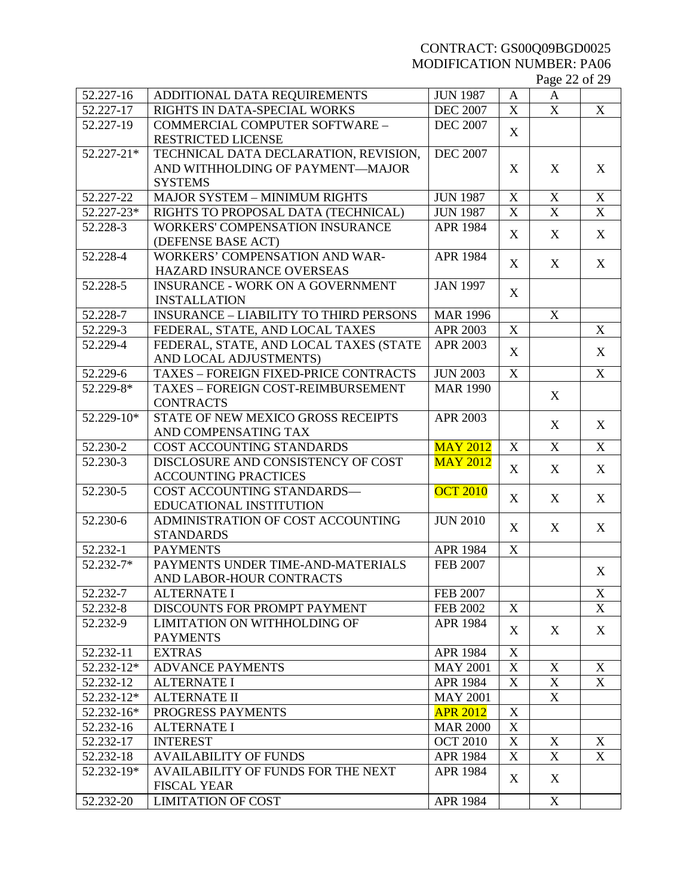Page 22 of 29

| 52.227-16            | ADDITIONAL DATA REQUIREMENTS                                    | <b>JUN 1987</b>                    | A           | A                |             |
|----------------------|-----------------------------------------------------------------|------------------------------------|-------------|------------------|-------------|
| 52.227-17            | RIGHTS IN DATA-SPECIAL WORKS                                    | <b>DEC 2007</b>                    | X           | X                | X           |
| 52.227-19            | COMMERCIAL COMPUTER SOFTWARE -                                  | <b>DEC 2007</b>                    | X           |                  |             |
|                      | <b>RESTRICTED LICENSE</b>                                       |                                    |             |                  |             |
| 52.227-21*           | TECHNICAL DATA DECLARATION, REVISION,                           | <b>DEC 2007</b>                    |             |                  |             |
|                      | AND WITHHOLDING OF PAYMENT-MAJOR                                |                                    | X           | X                | X           |
|                      | <b>SYSTEMS</b>                                                  |                                    |             |                  |             |
| 52.227-22            | <b>MAJOR SYSTEM - MINIMUM RIGHTS</b>                            | <b>JUN 1987</b>                    | X           | X                | X           |
| 52.227-23*           | RIGHTS TO PROPOSAL DATA (TECHNICAL)                             | <b>JUN 1987</b>                    | $\mathbf X$ | $\mathbf X$      | $\mathbf X$ |
| 52.228-3             | <b>WORKERS' COMPENSATION INSURANCE</b>                          | <b>APR 1984</b>                    | X           | X                | X           |
|                      | (DEFENSE BASE ACT)                                              |                                    |             |                  |             |
| 52.228-4             | <b>WORKERS' COMPENSATION AND WAR-</b>                           | <b>APR 1984</b>                    | X           | X                | X           |
|                      | HAZARD INSURANCE OVERSEAS                                       |                                    |             |                  |             |
| 52.228-5             | <b>INSURANCE - WORK ON A GOVERNMENT</b>                         | <b>JAN 1997</b>                    | X           |                  |             |
|                      | <b>INSTALLATION</b>                                             |                                    |             |                  |             |
| 52.228-7             | <b>INSURANCE - LIABILITY TO THIRD PERSONS</b>                   | <b>MAR 1996</b>                    |             | $\mathbf X$      |             |
| 52.229-3             | FEDERAL, STATE, AND LOCAL TAXES                                 | APR 2003                           | $\mathbf X$ |                  | $\mathbf X$ |
| 52.229-4             | FEDERAL, STATE, AND LOCAL TAXES (STATE                          | APR 2003                           | X           |                  | X           |
|                      | AND LOCAL ADJUSTMENTS)                                          |                                    |             |                  |             |
| 52.229-6             | TAXES - FOREIGN FIXED-PRICE CONTRACTS                           | <b>JUN 2003</b>                    | X           |                  | X           |
| 52.229-8*            | TAXES - FOREIGN COST-REIMBURSEMENT                              | <b>MAR 1990</b>                    |             | X                |             |
|                      | <b>CONTRACTS</b>                                                |                                    |             |                  |             |
| 52.229-10*           | STATE OF NEW MEXICO GROSS RECEIPTS                              | APR 2003                           |             | X                | X           |
|                      | AND COMPENSATING TAX                                            |                                    |             |                  | $\mathbf X$ |
| 52.230-2<br>52.230-3 | COST ACCOUNTING STANDARDS<br>DISCLOSURE AND CONSISTENCY OF COST | <b>MAY 2012</b><br><b>MAY 2012</b> | $\mathbf X$ | $\mathbf X$      |             |
|                      | <b>ACCOUNTING PRACTICES</b>                                     |                                    | X           | X                | X           |
| 52.230-5             | COST ACCOUNTING STANDARDS-                                      | <b>OCT 2010</b>                    |             |                  |             |
|                      | EDUCATIONAL INSTITUTION                                         |                                    | X           | X                | X           |
| 52.230-6             | ADMINISTRATION OF COST ACCOUNTING                               | <b>JUN 2010</b>                    |             |                  |             |
|                      | <b>STANDARDS</b>                                                |                                    | X           | X                | X           |
| 52.232-1             | <b>PAYMENTS</b>                                                 | APR 1984                           | X           |                  |             |
| $52.232 - 7*$        | PAYMENTS UNDER TIME-AND-MATERIALS                               | <b>FEB 2007</b>                    |             |                  |             |
|                      | AND LABOR-HOUR CONTRACTS                                        |                                    |             |                  | X           |
| 52.232-7             | <b>ALTERNATE I</b>                                              | <b>FEB 2007</b>                    |             |                  | $\mathbf X$ |
| 52.232-8             | DISCOUNTS FOR PROMPT PAYMENT                                    | <b>FEB 2002</b>                    | X           |                  | X           |
| 52.232-9             | LIMITATION ON WITHHOLDING OF                                    | <b>APR 1984</b>                    |             |                  |             |
|                      | <b>PAYMENTS</b>                                                 |                                    | X           | X                | X           |
| 52.232-11            | <b>EXTRAS</b>                                                   | APR 1984                           | X           |                  |             |
| 52.232-12*           | <b>ADVANCE PAYMENTS</b>                                         | <b>MAY 2001</b>                    | X           | $\mathbf X$      | X           |
| 52.232-12            | <b>ALTERNATE I</b>                                              | APR 1984                           | X           | $\mathbf X$      | X           |
| 52.232-12*           | <b>ALTERNATE II</b>                                             | <b>MAY 2001</b>                    |             | X                |             |
| 52.232-16*           | PROGRESS PAYMENTS                                               | <b>APR 2012</b>                    | X           |                  |             |
| 52.232-16            | <b>ALTERNATE I</b>                                              | <b>MAR 2000</b>                    | X           |                  |             |
| 52.232-17            | <b>INTEREST</b>                                                 | <b>OCT 2010</b>                    | X           | X                | X           |
| 52.232-18            | <b>AVAILABILITY OF FUNDS</b>                                    | APR 1984                           | X           | $\mathbf X$      | X           |
| 52.232-19*           | AVAILABILITY OF FUNDS FOR THE NEXT                              | APR 1984                           |             |                  |             |
|                      | <b>FISCAL YEAR</b>                                              |                                    | X           | X                |             |
| 52.232-20            | <b>LIMITATION OF COST</b>                                       | APR 1984                           |             | $\boldsymbol{X}$ |             |
|                      |                                                                 |                                    |             |                  |             |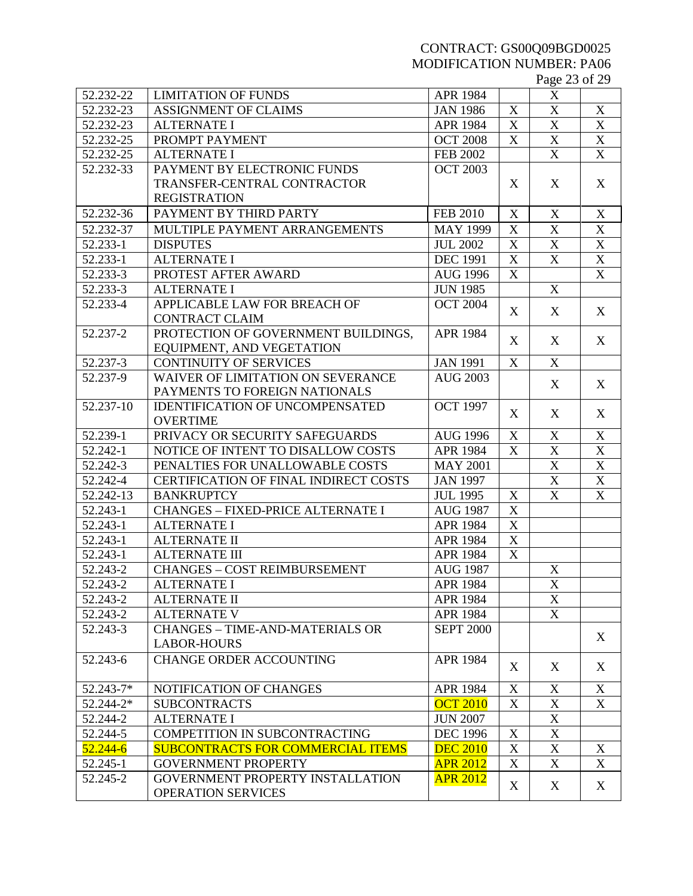| Page 23 of 29 |  |  |  |  |
|---------------|--|--|--|--|
|---------------|--|--|--|--|

| 52.232-22    | <b>LIMITATION OF FUNDS</b>                   | <b>APR 1984</b>  |                           | X                       |                       |
|--------------|----------------------------------------------|------------------|---------------------------|-------------------------|-----------------------|
| 52.232-23    | <b>ASSIGNMENT OF CLAIMS</b>                  | <b>JAN 1986</b>  | X                         | $\mathbf X$             | X                     |
| 52.232-23    | <b>ALTERNATE I</b>                           | <b>APR 1984</b>  | X                         | $\overline{X}$          | $\mathbf X$           |
| 52.232-25    | PROMPT PAYMENT                               | <b>OCT 2008</b>  | X                         | $\mathbf X$             | $\mathbf X$           |
| 52.232-25    | <b>ALTERNATE I</b>                           | <b>FEB 2002</b>  |                           | $\overline{X}$          | $\overline{\text{X}}$ |
| 52.232-33    | PAYMENT BY ELECTRONIC FUNDS                  | <b>OCT 2003</b>  |                           |                         |                       |
|              | TRANSFER-CENTRAL CONTRACTOR                  |                  | X                         | X                       | X                     |
|              | <b>REGISTRATION</b>                          |                  |                           |                         |                       |
| 52.232-36    | PAYMENT BY THIRD PARTY                       | <b>FEB 2010</b>  | $\mathbf X$               | X                       | $\mathbf X$           |
| 52.232-37    | MULTIPLE PAYMENT ARRANGEMENTS                | <b>MAY 1999</b>  | $\mathbf X$               | $\mathbf X$             | $\mathbf X$           |
| 52.233-1     | <b>DISPUTES</b>                              | <b>JUL 2002</b>  | $\boldsymbol{\mathrm{X}}$ | $\mathbf X$             | $\mathbf X$           |
| 52.233-1     | <b>ALTERNATE I</b>                           | <b>DEC 1991</b>  | X                         | $\mathbf X$             | $\mathbf X$           |
| 52.233-3     | PROTEST AFTER AWARD                          | <b>AUG 1996</b>  | X                         |                         | X                     |
| 52.233-3     | <b>ALTERNATE I</b>                           | <b>JUN 1985</b>  |                           | $\mathbf X$             |                       |
| 52.233-4     | APPLICABLE LAW FOR BREACH OF                 | <b>OCT 2004</b>  | X                         | X                       | X                     |
|              | <b>CONTRACT CLAIM</b>                        |                  |                           |                         |                       |
| 52.237-2     | PROTECTION OF GOVERNMENT BUILDINGS,          | <b>APR 1984</b>  | X                         | X                       | X                     |
|              | EQUIPMENT, AND VEGETATION                    |                  |                           |                         |                       |
| 52.237-3     | <b>CONTINUITY OF SERVICES</b>                | <b>JAN 1991</b>  | X                         | $\mathbf X$             |                       |
| 52.237-9     | WAIVER OF LIMITATION ON SEVERANCE            | <b>AUG 2003</b>  |                           | X                       | X                     |
|              | PAYMENTS TO FOREIGN NATIONALS                |                  |                           |                         |                       |
| 52.237-10    | <b>IDENTIFICATION OF UNCOMPENSATED</b>       | <b>OCT 1997</b>  | X                         | X                       | X                     |
|              | <b>OVERTIME</b>                              |                  |                           |                         |                       |
| 52.239-1     | PRIVACY OR SECURITY SAFEGUARDS               | <b>AUG 1996</b>  | X                         | X                       | X                     |
| 52.242-1     | NOTICE OF INTENT TO DISALLOW COSTS           | APR 1984         | X                         | $\mathbf X$             | $\mathbf X$           |
| 52.242-3     | PENALTIES FOR UNALLOWABLE COSTS              | <b>MAY 2001</b>  |                           | $\mathbf X$             | $\mathbf X$           |
| 52.242-4     | <b>CERTIFICATION OF FINAL INDIRECT COSTS</b> | <b>JAN 1997</b>  |                           | $\overline{\mathbf{X}}$ | $\overline{X}$        |
| 52.242-13    | <b>BANKRUPTCY</b>                            | <b>JUL 1995</b>  | X                         | X                       | X                     |
| 52.243-1     | <b>CHANGES - FIXED-PRICE ALTERNATE I</b>     | <b>AUG 1987</b>  | $\mathbf X$               |                         |                       |
| 52.243-1     | <b>ALTERNATE I</b>                           | <b>APR 1984</b>  | $\mathbf X$               |                         |                       |
| 52.243-1     | <b>ALTERNATE II</b>                          | APR 1984         | $\mathbf X$               |                         |                       |
| 52.243-1     | <b>ALTERNATE III</b>                         | <b>APR 1984</b>  | $\overline{\mathbf{X}}$   |                         |                       |
| 52.243-2     | <b>CHANGES - COST REIMBURSEMENT</b>          | <b>AUG 1987</b>  |                           | X                       |                       |
| 52.243-2     | <b>ALTERNATE I</b>                           | APR 1984         |                           | $\overline{X}$          |                       |
| 52.243-2     | <b>ALTERNATE II</b>                          | <b>APR 1984</b>  |                           | X                       |                       |
| 52.243-2     | <b>ALTERNATE V</b>                           | APR 1984         |                           | X                       |                       |
| 52.243-3     | <b>CHANGES - TIME-AND-MATERIALS OR</b>       | <b>SEPT 2000</b> |                           |                         | X                     |
|              | <b>LABOR-HOURS</b>                           |                  |                           |                         |                       |
| 52.243-6     | <b>CHANGE ORDER ACCOUNTING</b>               | <b>APR 1984</b>  | X                         | X                       | X                     |
| 52.243-7*    | NOTIFICATION OF CHANGES                      | <b>APR 1984</b>  | X                         | X                       | X                     |
| 52.244-2*    | <b>SUBCONTRACTS</b>                          | <b>OCT 2010</b>  | X                         | X                       | X                     |
| 52.244-2     | <b>ALTERNATE I</b>                           | <b>JUN 2007</b>  |                           | $\mathbf X$             |                       |
| 52.244-5     | <b>COMPETITION IN SUBCONTRACTING</b>         | <b>DEC 1996</b>  | X                         | $\mathbf X$             |                       |
| $52.244 - 6$ | <b>SUBCONTRACTS FOR COMMERCIAL ITEMS</b>     | <b>DEC 2010</b>  | X                         | $\mathbf X$             | X                     |
| 52.245-1     | <b>GOVERNMENT PROPERTY</b>                   | <b>APR 2012</b>  | X                         | X                       | X                     |
| 52.245-2     | GOVERNMENT PROPERTY INSTALLATION             | <b>APR 2012</b>  | X                         | X                       | X                     |
|              | <b>OPERATION SERVICES</b>                    |                  |                           |                         |                       |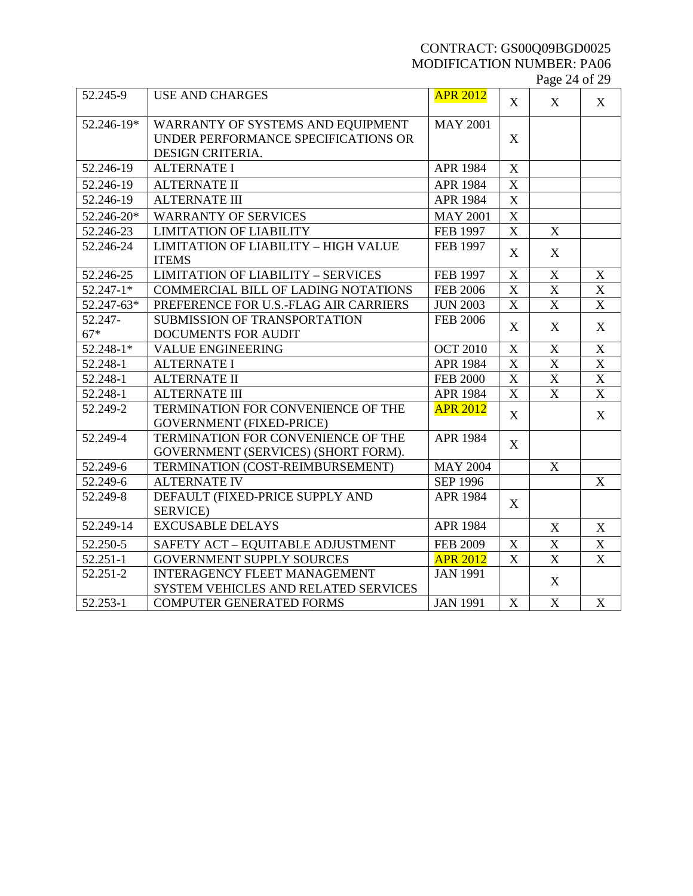#### CONTRACT: GS00Q09BGD0025 MODIFICATION NUMBER: PA06 Page 24 of 29

| 52.245-9      | <b>USE AND CHARGES</b>                                                                              | <b>APR 2012</b> | X                       | X              | X                         |
|---------------|-----------------------------------------------------------------------------------------------------|-----------------|-------------------------|----------------|---------------------------|
| 52.246-19*    | WARRANTY OF SYSTEMS AND EQUIPMENT<br>UNDER PERFORMANCE SPECIFICATIONS OR<br><b>DESIGN CRITERIA.</b> | <b>MAY 2001</b> | X                       |                |                           |
| 52.246-19     | <b>ALTERNATE I</b>                                                                                  | APR 1984        | $\mathbf X$             |                |                           |
| 52.246-19     | <b>ALTERNATE II</b>                                                                                 | <b>APR 1984</b> | $\mathbf X$             |                |                           |
| 52.246-19     | <b>ALTERNATE III</b>                                                                                | APR 1984        | $\mathbf X$             |                |                           |
| 52.246-20*    | <b>WARRANTY OF SERVICES</b>                                                                         | <b>MAY 2001</b> | $\overline{\mathbf{X}}$ |                |                           |
| 52.246-23     | <b>LIMITATION OF LIABILITY</b>                                                                      | <b>FEB 1997</b> | $\overline{\mathbf{X}}$ | $\mathbf X$    |                           |
| 52.246-24     | <b>LIMITATION OF LIABILITY - HIGH VALUE</b><br><b>ITEMS</b>                                         | <b>FEB 1997</b> | X                       | $\mathbf X$    |                           |
| 52.246-25     | <b>LIMITATION OF LIABILITY - SERVICES</b>                                                           | <b>FEB 1997</b> | $\mathbf X$             | $\mathbf X$    | $\mathbf X$               |
| $52.247 - 1*$ | <b>COMMERCIAL BILL OF LADING NOTATIONS</b>                                                          | <b>FEB 2006</b> | $\mathbf X$             | $\overline{X}$ | $\mathbf X$               |
| 52.247-63*    | PREFERENCE FOR U.S.-FLAG AIR CARRIERS                                                               | <b>JUN 2003</b> | $\mathbf X$             | $\overline{X}$ | $\overline{\mathbf{X}}$   |
| 52.247-       | <b>SUBMISSION OF TRANSPORTATION</b>                                                                 | <b>FEB 2006</b> | X                       | X              | X                         |
| $67*$         | DOCUMENTS FOR AUDIT                                                                                 |                 |                         |                |                           |
| $52.248-1*$   | <b>VALUE ENGINEERING</b>                                                                            | <b>OCT 2010</b> | $\mathbf X$             | $\mathbf X$    | $\mathbf X$               |
| 52.248-1      | <b>ALTERNATE I</b>                                                                                  | <b>APR 1984</b> | $\overline{X}$          | $\overline{X}$ | $\overline{X}$            |
| 52.248-1      | <b>ALTERNATE II</b>                                                                                 | <b>FEB 2000</b> | $\overline{X}$          | $\overline{X}$ | $\overline{X}$            |
| 52.248-1      | <b>ALTERNATE III</b>                                                                                | APR 1984        | X                       | $\overline{X}$ | $\overline{\text{X}}$     |
| 52.249-2      | TERMINATION FOR CONVENIENCE OF THE<br><b>GOVERNMENT (FIXED-PRICE)</b>                               | <b>APR 2012</b> | X                       |                | $\mathbf X$               |
| 52.249-4      | TERMINATION FOR CONVENIENCE OF THE<br>GOVERNMENT (SERVICES) (SHORT FORM).                           | <b>APR 1984</b> | X                       |                |                           |
| 52.249-6      | TERMINATION (COST-REIMBURSEMENT)                                                                    | <b>MAY 2004</b> |                         | $\mathbf X$    |                           |
| 52.249-6      | <b>ALTERNATE IV</b>                                                                                 | <b>SEP 1996</b> |                         |                | X                         |
| 52.249-8      | DEFAULT (FIXED-PRICE SUPPLY AND                                                                     | <b>APR 1984</b> | X                       |                |                           |
|               | <b>SERVICE</b> )                                                                                    |                 |                         |                |                           |
| 52.249-14     | <b>EXCUSABLE DELAYS</b>                                                                             | APR 1984        |                         | X              | $\mathbf X$               |
| 52.250-5      | SAFETY ACT - EQUITABLE ADJUSTMENT                                                                   | <b>FEB 2009</b> | X                       | $\mathbf X$    | $\boldsymbol{\mathrm{X}}$ |
| $52.251 - 1$  | <b>GOVERNMENT SUPPLY SOURCES</b>                                                                    | <b>APR 2012</b> | X                       | $\overline{X}$ | $\overline{X}$            |
| 52.251-2      | <b>INTERAGENCY FLEET MANAGEMENT</b><br>SYSTEM VEHICLES AND RELATED SERVICES                         | <b>JAN 1991</b> |                         | $\mathbf X$    |                           |
| 52.253-1      | <b>COMPUTER GENERATED FORMS</b>                                                                     | <b>JAN 1991</b> | X                       | $\overline{X}$ | $\mathbf X$               |
|               |                                                                                                     |                 |                         |                |                           |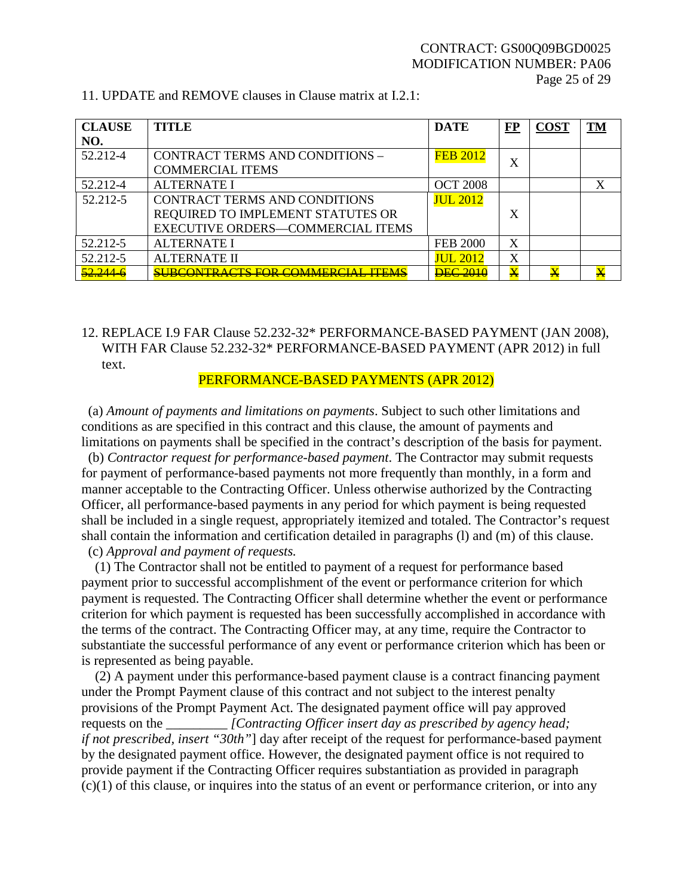| <b>CLAUSE</b>       | <b>TITLE</b>                       | <b>DATE</b>         | FP                      | <b>COST</b> | TM |
|---------------------|------------------------------------|---------------------|-------------------------|-------------|----|
| NO.                 |                                    |                     |                         |             |    |
| 52.212-4            | CONTRACT TERMS AND CONDITIONS -    | <b>FEB 2012</b>     | X                       |             |    |
|                     | <b>COMMERCIAL ITEMS</b>            |                     |                         |             |    |
| 52.212-4            | <b>ALTERNATE I</b>                 | <b>OCT 2008</b>     |                         |             | X  |
| 52.212-5            | CONTRACT TERMS AND CONDITIONS      | <b>JUL 2012</b>     |                         |             |    |
|                     | REQUIRED TO IMPLEMENT STATUTES OR  |                     | X                       |             |    |
|                     | EXECUTIVE ORDERS-COMMERCIAL ITEMS  |                     |                         |             |    |
| 52.212-5            | <b>ALTERNATE I</b>                 | <b>FEB 2000</b>     | X                       |             |    |
| 52.212-5            | <b>ALTERNATE II</b>                | <b>JUL 2012</b>     | X                       |             |    |
| <del>52.244-6</del> | <b>SUBCONTRACTS FOR COMMERCIAL</b> | <del>DEC 2010</del> | $\overline{\textbf{X}}$ | Χ           |    |

11. UPDATE and REMOVE clauses in Clause matrix at I.2.1:

#### 12. REPLACE I.9 FAR Clause 52.232-32\* PERFORMANCE-BASED PAYMENT (JAN 2008), WITH FAR Clause 52.232-32\* PERFORMANCE-BASED PAYMENT (APR 2012) in full text.

PERFORMANCE-BASED PAYMENTS (APR 2012)

(a) *Amount of payments and limitations on payments*. Subject to such other limitations and conditions as are specified in this contract and this clause, the amount of payments and limitations on payments shall be specified in the contract's description of the basis for payment.

(b) *Contractor request for performance-based payment*. The Contractor may submit requests for payment of performance-based payments not more frequently than monthly, in a form and manner acceptable to the Contracting Officer. Unless otherwise authorized by the Contracting Officer, all performance-based payments in any period for which payment is being requested shall be included in a single request, appropriately itemized and totaled. The Contractor's request shall contain the information and certification detailed in paragraphs (l) and (m) of this clause.

(c) *Approval and payment of requests.*

(1) The Contractor shall not be entitled to payment of a request for performance based payment prior to successful accomplishment of the event or performance criterion for which payment is requested. The Contracting Officer shall determine whether the event or performance criterion for which payment is requested has been successfully accomplished in accordance with the terms of the contract. The Contracting Officer may, at any time, require the Contractor to substantiate the successful performance of any event or performance criterion which has been or is represented as being payable.

(2) A payment under this performance-based payment clause is a contract financing payment under the Prompt Payment clause of this contract and not subject to the interest penalty provisions of the Prompt Payment Act. The designated payment office will pay approved requests on the \_\_\_\_\_\_\_\_\_ *[Contracting Officer insert day as prescribed by agency head; if not prescribed, insert "30th"*] day after receipt of the request for performance-based payment by the designated payment office. However, the designated payment office is not required to provide payment if the Contracting Officer requires substantiation as provided in paragraph (c)(1) of this clause, or inquires into the status of an event or performance criterion, or into any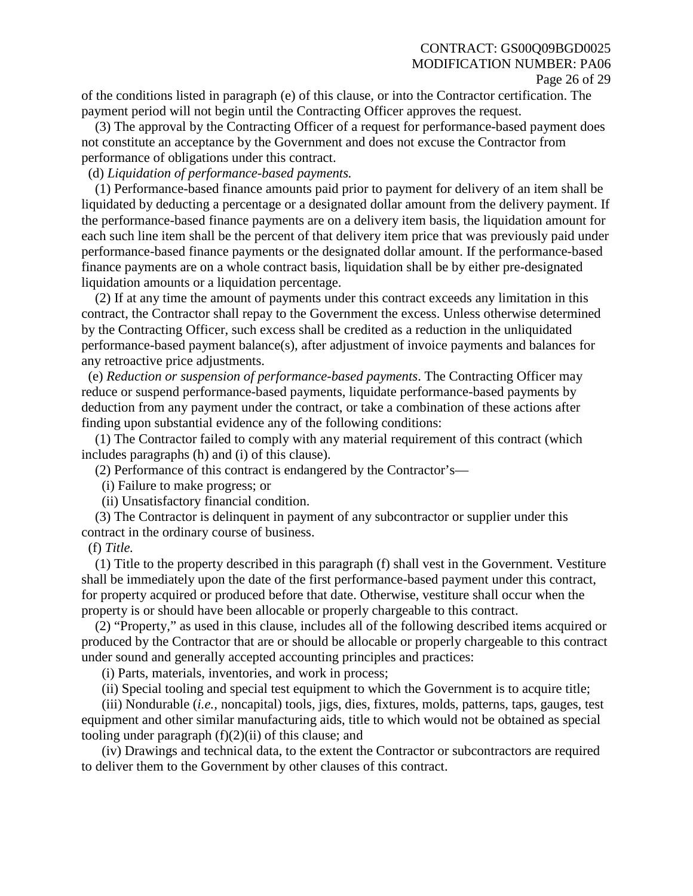of the conditions listed in paragraph (e) of this clause, or into the Contractor certification. The payment period will not begin until the Contracting Officer approves the request.

(3) The approval by the Contracting Officer of a request for performance-based payment does not constitute an acceptance by the Government and does not excuse the Contractor from performance of obligations under this contract.

(d) *Liquidation of performance-based payments.*

(1) Performance-based finance amounts paid prior to payment for delivery of an item shall be liquidated by deducting a percentage or a designated dollar amount from the delivery payment. If the performance-based finance payments are on a delivery item basis, the liquidation amount for each such line item shall be the percent of that delivery item price that was previously paid under performance-based finance payments or the designated dollar amount. If the performance-based finance payments are on a whole contract basis, liquidation shall be by either pre-designated liquidation amounts or a liquidation percentage.

(2) If at any time the amount of payments under this contract exceeds any limitation in this contract, the Contractor shall repay to the Government the excess. Unless otherwise determined by the Contracting Officer, such excess shall be credited as a reduction in the unliquidated performance-based payment balance(s), after adjustment of invoice payments and balances for any retroactive price adjustments.

(e) *Reduction or suspension of performance-based payments*. The Contracting Officer may reduce or suspend performance-based payments, liquidate performance-based payments by deduction from any payment under the contract, or take a combination of these actions after finding upon substantial evidence any of the following conditions:

(1) The Contractor failed to comply with any material requirement of this contract (which includes paragraphs (h) and (i) of this clause).

(2) Performance of this contract is endangered by the Contractor's—

(i) Failure to make progress; or

(ii) Unsatisfactory financial condition.

(3) The Contractor is delinquent in payment of any subcontractor or supplier under this contract in the ordinary course of business.

(f) *Title.*

(1) Title to the property described in this paragraph (f) shall vest in the Government. Vestiture shall be immediately upon the date of the first performance-based payment under this contract, for property acquired or produced before that date. Otherwise, vestiture shall occur when the property is or should have been allocable or properly chargeable to this contract.

(2) "Property," as used in this clause, includes all of the following described items acquired or produced by the Contractor that are or should be allocable or properly chargeable to this contract under sound and generally accepted accounting principles and practices:

(i) Parts, materials, inventories, and work in process;

(ii) Special tooling and special test equipment to which the Government is to acquire title;

(iii) Nondurable (*i.e.,* noncapital) tools, jigs, dies, fixtures, molds, patterns, taps, gauges, test equipment and other similar manufacturing aids, title to which would not be obtained as special tooling under paragraph  $(f)(2)(ii)$  of this clause; and

(iv) Drawings and technical data, to the extent the Contractor or subcontractors are required to deliver them to the Government by other clauses of this contract.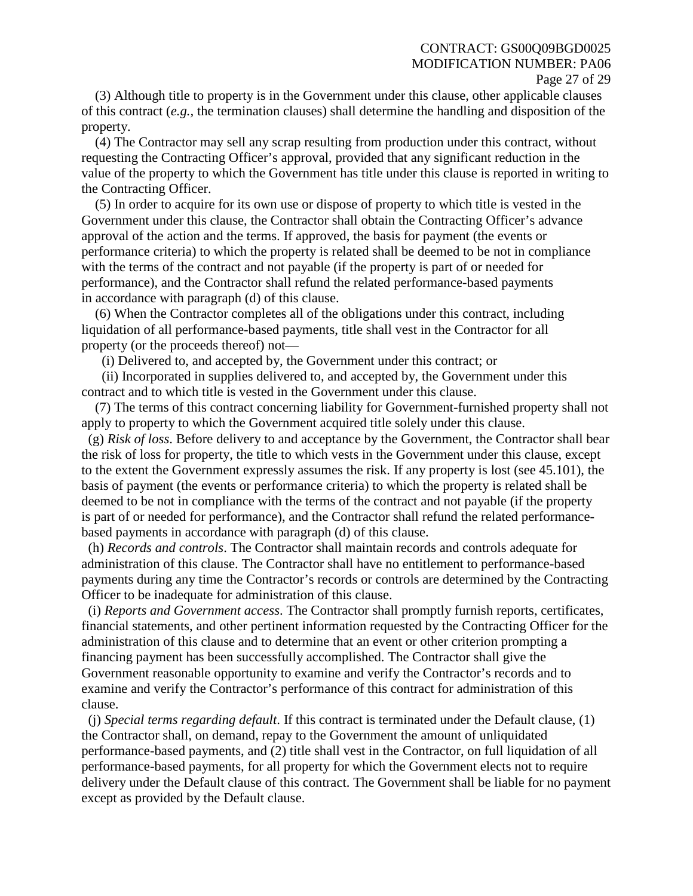(3) Although title to property is in the Government under this clause, other applicable clauses of this contract (*e.g.,* the termination clauses) shall determine the handling and disposition of the property.

(4) The Contractor may sell any scrap resulting from production under this contract, without requesting the Contracting Officer's approval, provided that any significant reduction in the value of the property to which the Government has title under this clause is reported in writing to the Contracting Officer.

(5) In order to acquire for its own use or dispose of property to which title is vested in the Government under this clause, the Contractor shall obtain the Contracting Officer's advance approval of the action and the terms. If approved, the basis for payment (the events or performance criteria) to which the property is related shall be deemed to be not in compliance with the terms of the contract and not payable (if the property is part of or needed for performance), and the Contractor shall refund the related performance-based payments in accordance with paragraph (d) of this clause.

(6) When the Contractor completes all of the obligations under this contract, including liquidation of all performance-based payments, title shall vest in the Contractor for all property (or the proceeds thereof) not—

(i) Delivered to, and accepted by, the Government under this contract; or

(ii) Incorporated in supplies delivered to, and accepted by, the Government under this contract and to which title is vested in the Government under this clause.

(7) The terms of this contract concerning liability for Government-furnished property shall not apply to property to which the Government acquired title solely under this clause.

(g) *Risk of loss*. Before delivery to and acceptance by the Government, the Contractor shall bear the risk of loss for property, the title to which vests in the Government under this clause, except to the extent the Government expressly assumes the risk. If any property is lost (see 45.101), the basis of payment (the events or performance criteria) to which the property is related shall be deemed to be not in compliance with the terms of the contract and not payable (if the property is part of or needed for performance), and the Contractor shall refund the related performancebased payments in accordance with paragraph (d) of this clause.

(h) *Records and controls*. The Contractor shall maintain records and controls adequate for administration of this clause. The Contractor shall have no entitlement to performance-based payments during any time the Contractor's records or controls are determined by the Contracting Officer to be inadequate for administration of this clause.

(i) *Reports and Government access*. The Contractor shall promptly furnish reports, certificates, financial statements, and other pertinent information requested by the Contracting Officer for the administration of this clause and to determine that an event or other criterion prompting a financing payment has been successfully accomplished. The Contractor shall give the Government reasonable opportunity to examine and verify the Contractor's records and to examine and verify the Contractor's performance of this contract for administration of this clause.

(j) *Special terms regarding default*. If this contract is terminated under the Default clause, (1) the Contractor shall, on demand, repay to the Government the amount of unliquidated performance-based payments, and (2) title shall vest in the Contractor, on full liquidation of all performance-based payments, for all property for which the Government elects not to require delivery under the Default clause of this contract. The Government shall be liable for no payment except as provided by the Default clause.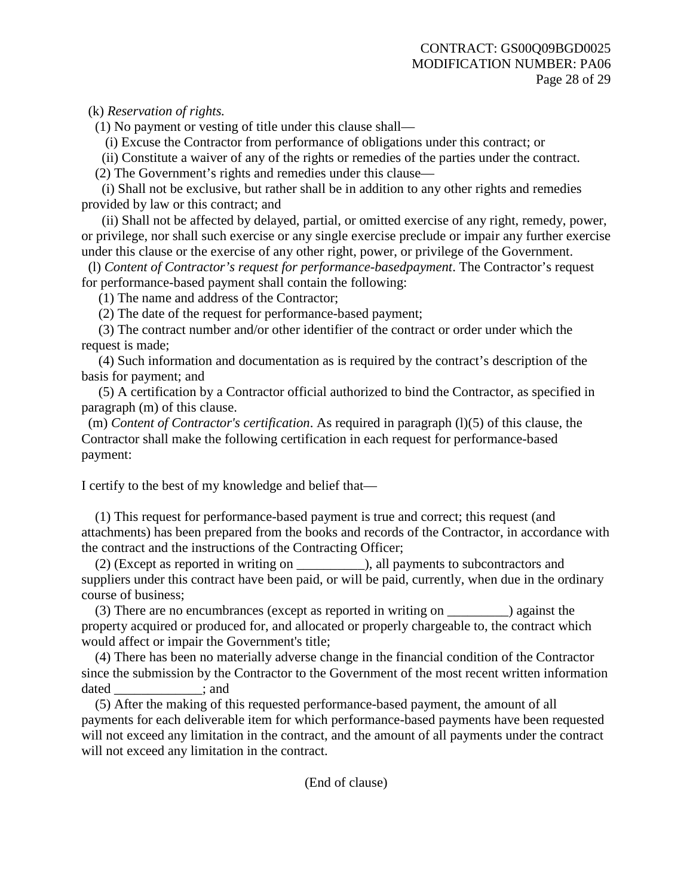(k) *Reservation of rights.*

(1) No payment or vesting of title under this clause shall—

(i) Excuse the Contractor from performance of obligations under this contract; or

(ii) Constitute a waiver of any of the rights or remedies of the parties under the contract.

(2) The Government's rights and remedies under this clause—

(i) Shall not be exclusive, but rather shall be in addition to any other rights and remedies provided by law or this contract; and

(ii) Shall not be affected by delayed, partial, or omitted exercise of any right, remedy, power, or privilege, nor shall such exercise or any single exercise preclude or impair any further exercise under this clause or the exercise of any other right, power, or privilege of the Government.

(l) *Content of Contractor's request for performance-basedpayment*. The Contractor's request for performance-based payment shall contain the following:

(1) The name and address of the Contractor;

(2) The date of the request for performance-based payment;

(3) The contract number and/or other identifier of the contract or order under which the request is made;

(4) Such information and documentation as is required by the contract's description of the basis for payment; and

(5) A certification by a Contractor official authorized to bind the Contractor, as specified in paragraph (m) of this clause.

(m) *Content of Contractor's certification*. As required in paragraph (l)(5) of this clause, the Contractor shall make the following certification in each request for performance-based payment:

I certify to the best of my knowledge and belief that—

(1) This request for performance-based payment is true and correct; this request (and attachments) has been prepared from the books and records of the Contractor, in accordance with the contract and the instructions of the Contracting Officer;

(2) (Except as reported in writing on \_\_\_\_\_\_\_\_\_\_), all payments to subcontractors and suppliers under this contract have been paid, or will be paid, currently, when due in the ordinary course of business;

(3) There are no encumbrances (except as reported in writing on  $\qquad$ ) against the property acquired or produced for, and allocated or properly chargeable to, the contract which would affect or impair the Government's title;

(4) There has been no materially adverse change in the financial condition of the Contractor since the submission by the Contractor to the Government of the most recent written information dated ; and

(5) After the making of this requested performance-based payment, the amount of all payments for each deliverable item for which performance-based payments have been requested will not exceed any limitation in the contract, and the amount of all payments under the contract will not exceed any limitation in the contract.

(End of clause)